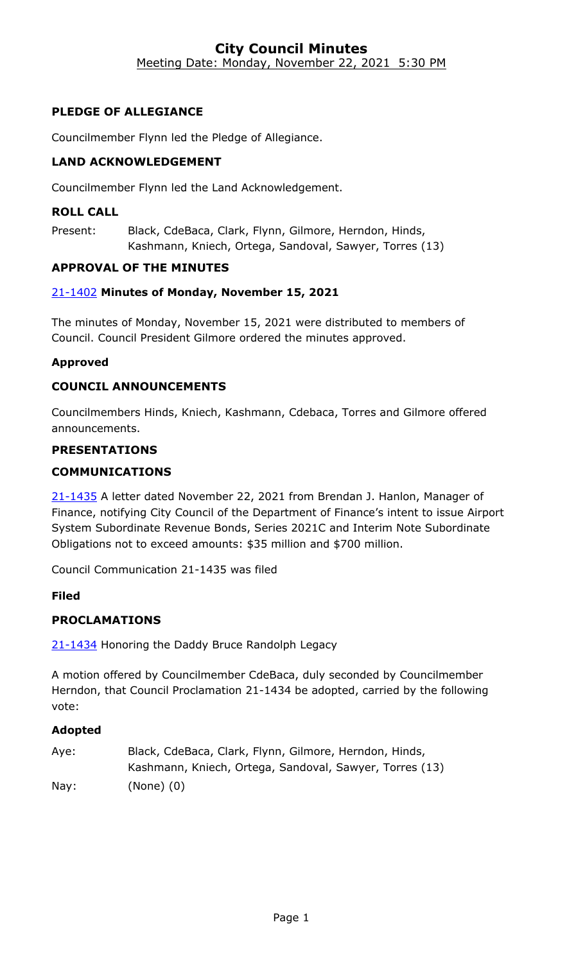### **City Council Minutes** Meeting Date: Monday, November 22, 2021 5:30 PM

# **PLEDGE OF ALLEGIANCE**

Councilmember Flynn led the Pledge of Allegiance.

# **LAND ACKNOWLEDGEMENT**

Councilmember Flynn led the Land Acknowledgement.

#### **ROLL CALL**

Present: Black, CdeBaca, Clark, Flynn, Gilmore, Herndon, Hinds, Kashmann, Kniech, Ortega, Sandoval, Sawyer, Torres (13)

#### **APPROVAL OF THE MINUTES**

#### 21-1402 **[Minutes of Monday, November 15, 2021](http://denver.legistar.com/gateway.aspx?m=l&id=/matter.aspx?key=19920)**

The minutes of Monday, November 15, 2021 were distributed to members of Council. Council President Gilmore ordered the minutes approved.

#### **Approved**

#### **COUNCIL ANNOUNCEMENTS**

Councilmembers Hinds, Kniech, Kashmann, Cdebaca, Torres and Gilmore offered announcements.

#### **PRESENTATIONS**

#### **COMMUNICATIONS**

21-1435 A letter dated November 22, 2021 from Brendan J. Hanlon, Manager of [Finance, notifying City Council of the Department of Finance's intent to issue Airport](http://denver.legistar.com/gateway.aspx?m=l&id=/matter.aspx?key=20952)  System Subordinate Revenue Bonds, Series 2021C and Interim Note Subordinate Obligations not to exceed amounts: \$35 million and \$700 million.

Council Communication 21-1435 was filed

#### **Filed**

# **PROCLAMATIONS**

21-1434 [Honoring the Daddy Bruce Randolph Legacy](http://denver.legistar.com/gateway.aspx?m=l&id=/matter.aspx?key=20951)

A motion offered by Councilmember CdeBaca, duly seconded by Councilmember Herndon, that Council Proclamation 21-1434 be adopted, carried by the following vote:

#### **Adopted**

| Aye: | Black, CdeBaca, Clark, Flynn, Gilmore, Herndon, Hinds,  |
|------|---------------------------------------------------------|
|      | Kashmann, Kniech, Ortega, Sandoval, Sawyer, Torres (13) |
| Nay: | $(None)$ $(0)$                                          |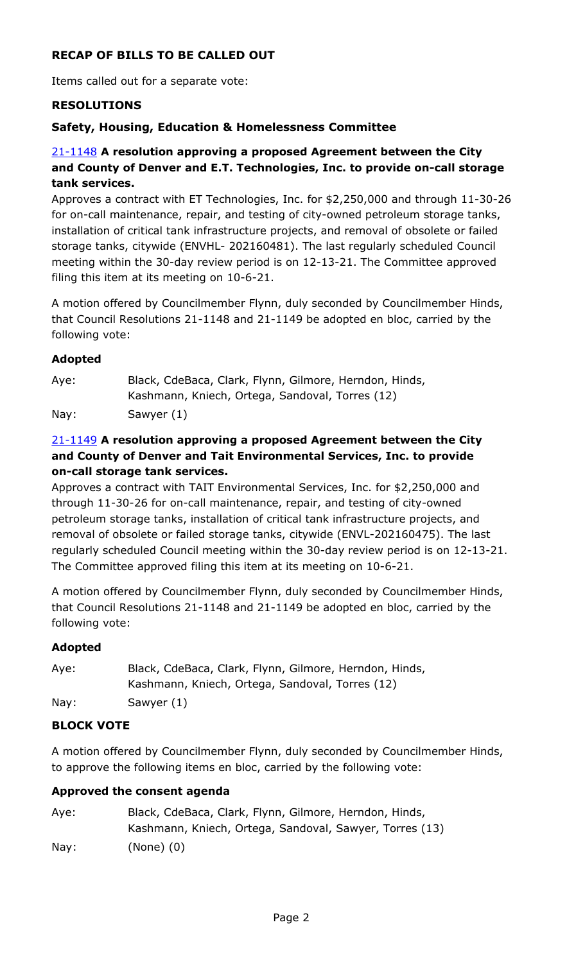# **RECAP OF BILLS TO BE CALLED OUT**

Items called out for a separate vote:

### **RESOLUTIONS**

#### **Safety, Housing, Education & Homelessness Committee**

# 21-1148 **A resolution approving a proposed Agreement between the City and County of Denver and E.T. Technologies, Inc. to provide on-call storage tank services.**

[Approves a contract with ET Technologies, Inc. for \\$2,250,000 and through 11-30-26](http://denver.legistar.com/gateway.aspx?m=l&id=/matter.aspx?key=19666)  for on-call maintenance, repair, and testing of city-owned petroleum storage tanks, installation of critical tank infrastructure projects, and removal of obsolete or failed storage tanks, citywide (ENVHL- 202160481). The last regularly scheduled Council meeting within the 30-day review period is on 12-13-21. The Committee approved filing this item at its meeting on 10-6-21.

A motion offered by Councilmember Flynn, duly seconded by Councilmember Hinds, that Council Resolutions 21-1148 and 21-1149 be adopted en bloc, carried by the following vote:

#### **Adopted**

| Aye: | Black, CdeBaca, Clark, Flynn, Gilmore, Herndon, Hinds, |
|------|--------------------------------------------------------|
|      | Kashmann, Kniech, Ortega, Sandoval, Torres (12)        |
| Nay: | Sawyer (1)                                             |

# 21-1149 **A resolution approving a proposed Agreement between the City and County of Denver and Tait Environmental Services, Inc. to provide on-call storage tank services.**

Approves a contract with TAIT Environmental Services, Inc. for \$2,250,000 and through 11-30-26 for on-call maintenance, repair, and testing of city-owned petroleum storage tanks, installation of critical tank infrastructure projects, and removal of obsolete or failed storage tanks, citywide (ENVL-202160475). The last [regularly scheduled Council meeting within the 30-day review period is on 12-13-21.](http://denver.legistar.com/gateway.aspx?m=l&id=/matter.aspx?key=19667)  The Committee approved filing this item at its meeting on 10-6-21.

A motion offered by Councilmember Flynn, duly seconded by Councilmember Hinds, that Council Resolutions 21-1148 and 21-1149 be adopted en bloc, carried by the following vote:

# **Adopted**

Aye: Black, CdeBaca, Clark, Flynn, Gilmore, Herndon, Hinds, Kashmann, Kniech, Ortega, Sandoval, Torres (12) Nay: Sawyer (1)

# **BLOCK VOTE**

A motion offered by Councilmember Flynn, duly seconded by Councilmember Hinds, to approve the following items en bloc, carried by the following vote:

#### **Approved the consent agenda**

| Aye: | Black, CdeBaca, Clark, Flynn, Gilmore, Herndon, Hinds,  |
|------|---------------------------------------------------------|
|      | Kashmann, Kniech, Ortega, Sandoval, Sawyer, Torres (13) |
| Nay: | $(None)$ $(0)$                                          |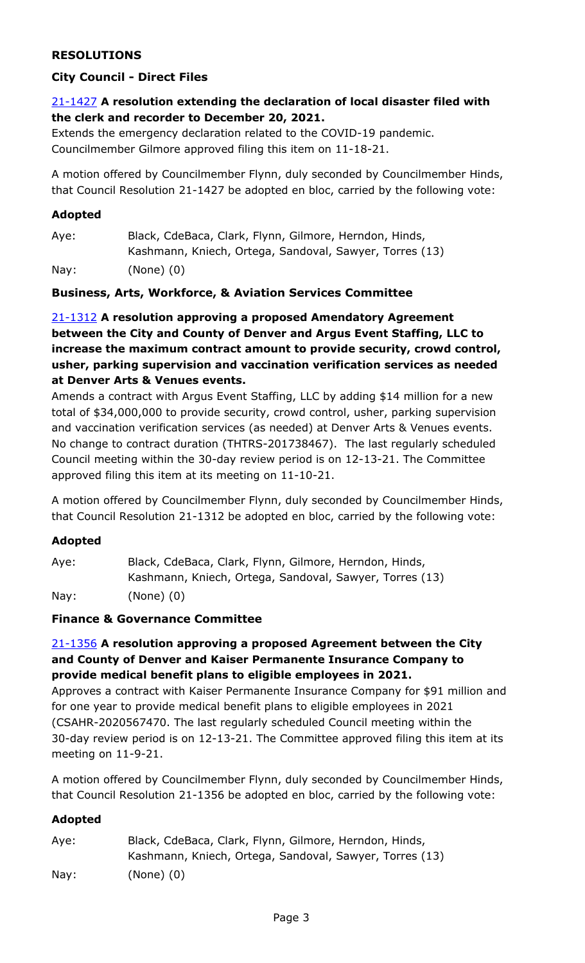# **RESOLUTIONS**

# **City Council - Direct Files**

# 21-1427 **[A resolution extending the declaration of local disaster filed with](http://denver.legistar.com/gateway.aspx?m=l&id=/matter.aspx?key=20944)  the clerk and recorder to December 20, 2021.**

Extends the emergency declaration related to the COVID-19 pandemic. Councilmember Gilmore approved filing this item on 11-18-21.

A motion offered by Councilmember Flynn, duly seconded by Councilmember Hinds, that Council Resolution 21-1427 be adopted en bloc, carried by the following vote:

#### **Adopted**

Aye: Black, CdeBaca, Clark, Flynn, Gilmore, Herndon, Hinds, Kashmann, Kniech, Ortega, Sandoval, Sawyer, Torres (13) Nay: (None) (0)

# **Business, Arts, Workforce, & Aviation Services Committee**

# 21-1312 **A resolution approving a proposed Amendatory Agreement between the City and County of Denver and Argus Event Staffing, LLC to [increase the maximum contract amount to provide security, crowd control,](http://denver.legistar.com/gateway.aspx?m=l&id=/matter.aspx?key=19830)  usher, parking supervision and vaccination verification services as needed at Denver Arts & Venues events.**

Amends a contract with Argus Event Staffing, LLC by adding \$14 million for a new total of \$34,000,000 to provide security, crowd control, usher, parking supervision and vaccination verification services (as needed) at Denver Arts & Venues events. No change to contract duration (THTRS-201738467). The last regularly scheduled Council meeting within the 30-day review period is on 12-13-21. The Committee approved filing this item at its meeting on 11-10-21.

A motion offered by Councilmember Flynn, duly seconded by Councilmember Hinds, that Council Resolution 21-1312 be adopted en bloc, carried by the following vote:

# **Adopted**

Aye: Black, CdeBaca, Clark, Flynn, Gilmore, Herndon, Hinds, Kashmann, Kniech, Ortega, Sandoval, Sawyer, Torres (13) Nay: (None) (0)

#### **Finance & Governance Committee**

# 21-1356 **A resolution approving a proposed Agreement between the City and County of Denver and Kaiser Permanente Insurance Company to provide medical benefit plans to eligible employees in 2021.**

[Approves a contract with Kaiser Permanente Insurance Company for \\$91 million and](http://denver.legistar.com/gateway.aspx?m=l&id=/matter.aspx?key=19874)  for one year to provide medical benefit plans to eligible employees in 2021 (CSAHR-2020567470. The last regularly scheduled Council meeting within the 30-day review period is on 12-13-21. The Committee approved filing this item at its meeting on 11-9-21.

A motion offered by Councilmember Flynn, duly seconded by Councilmember Hinds, that Council Resolution 21-1356 be adopted en bloc, carried by the following vote:

# **Adopted**

| Aye:            | Black, CdeBaca, Clark, Flynn, Gilmore, Herndon, Hinds,  |
|-----------------|---------------------------------------------------------|
|                 | Kashmann, Kniech, Ortega, Sandoval, Sawyer, Torres (13) |
| $\textsf{Nay}:$ | $(None)$ $(0)$                                          |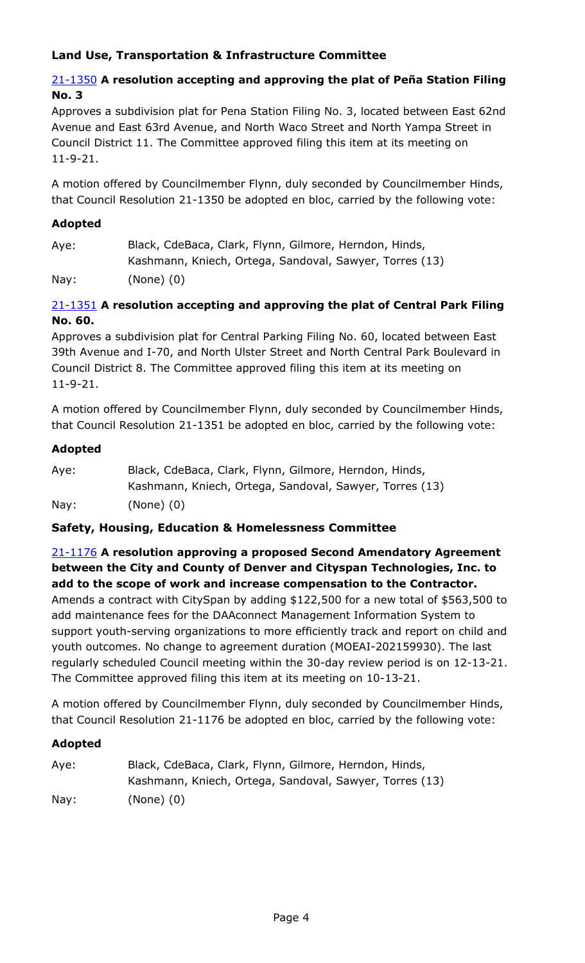# **Land Use, Transportation & Infrastructure Committee**

# 21-1350 **A resolution accepting and approving the plat of Peña Station Filing No. 3**

[Approves a subdivision plat for Pena Station Filing No. 3, located between East 62nd](http://denver.legistar.com/gateway.aspx?m=l&id=/matter.aspx?key=19868)  Avenue and East 63rd Avenue, and North Waco Street and North Yampa Street in Council District 11. The Committee approved filing this item at its meeting on 11-9-21.

A motion offered by Councilmember Flynn, duly seconded by Councilmember Hinds, that Council Resolution 21-1350 be adopted en bloc, carried by the following vote:

#### **Adopted**

Aye: Black, CdeBaca, Clark, Flynn, Gilmore, Herndon, Hinds, Kashmann, Kniech, Ortega, Sandoval, Sawyer, Torres (13) Nay: (None) (0)

### 21-1351 **A resolution accepting and approving the plat of Central Park Filing No. 60.**

Approves a subdivision plat for Central Parking Filing No. 60, located between East [39th Avenue and I-70, and North Ulster Street and North Central Park Boulevard in](http://denver.legistar.com/gateway.aspx?m=l&id=/matter.aspx?key=19869)  Council District 8. The Committee approved filing this item at its meeting on 11-9-21.

A motion offered by Councilmember Flynn, duly seconded by Councilmember Hinds, that Council Resolution 21-1351 be adopted en bloc, carried by the following vote:

#### **Adopted**

| Aye: | Black, CdeBaca, Clark, Flynn, Gilmore, Herndon, Hinds,  |
|------|---------------------------------------------------------|
|      | Kashmann, Kniech, Ortega, Sandoval, Sawyer, Torres (13) |
| Nay: | (None) (0)                                              |

# **Safety, Housing, Education & Homelessness Committee**

# 21-1176 **A resolution approving a proposed Second Amendatory Agreement between the City and County of Denver and Cityspan Technologies, Inc. to add to the scope of work and increase compensation to the Contractor.** Amends a contract with CitySpan by adding \$122,500 for a new total of \$563,500 to add maintenance fees for the DAAconnect Management Information System to support youth-serving organizations to more efficiently track and report on child and youth outcomes. No change to agreement duration (MOEAI-202159930). The last [regularly scheduled Council meeting within the 30-day review period is on 12-13-21.](http://denver.legistar.com/gateway.aspx?m=l&id=/matter.aspx?key=19694)  The Committee approved filing this item at its meeting on 10-13-21.

A motion offered by Councilmember Flynn, duly seconded by Councilmember Hinds, that Council Resolution 21-1176 be adopted en bloc, carried by the following vote:

#### **Adopted**

| Aye:            | Black, CdeBaca, Clark, Flynn, Gilmore, Herndon, Hinds,  |
|-----------------|---------------------------------------------------------|
|                 | Kashmann, Kniech, Ortega, Sandoval, Sawyer, Torres (13) |
| $\textsf{Nav:}$ | $(None)$ $(0)$                                          |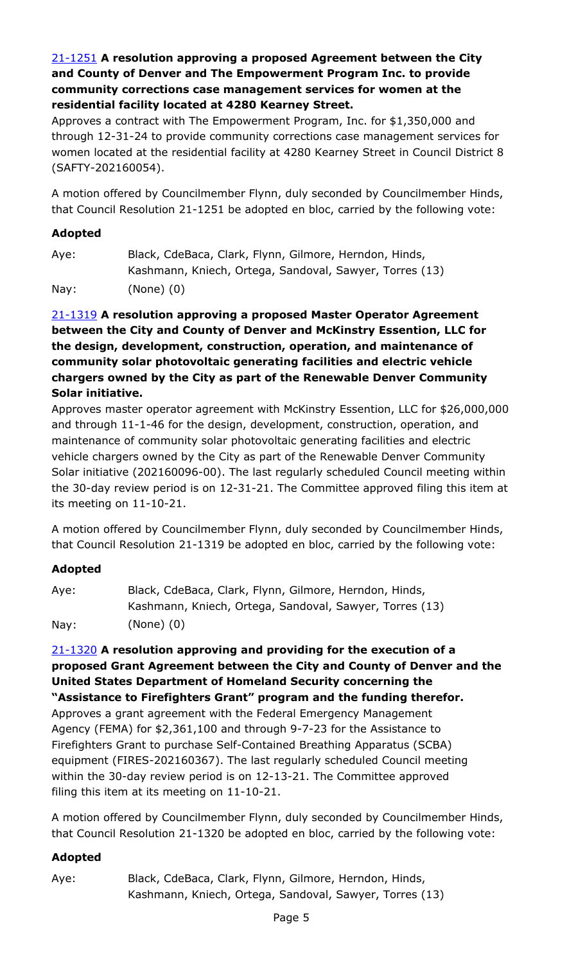# 21-1251 **A resolution approving a proposed Agreement between the City and County of Denver and The Empowerment Program Inc. to provide community corrections case management services for women at the residential facility located at 4280 Kearney Street.**

Approves a contract with The Empowerment Program, Inc. for \$1,350,000 and through 12-31-24 to provide community corrections case management services for [women located at the residential facility at 4280 Kearney Street in Council District 8](http://denver.legistar.com/gateway.aspx?m=l&id=/matter.aspx?key=19769)  (SAFTY-202160054).

A motion offered by Councilmember Flynn, duly seconded by Councilmember Hinds, that Council Resolution 21-1251 be adopted en bloc, carried by the following vote:

# **Adopted**

Aye: Black, CdeBaca, Clark, Flynn, Gilmore, Herndon, Hinds, Kashmann, Kniech, Ortega, Sandoval, Sawyer, Torres (13)

Nay: (None) (0)

# 21-1319 **A resolution approving a proposed Master Operator Agreement between the City and County of Denver and McKinstry Essention, LLC for the design, development, construction, operation, and maintenance of community solar photovoltaic generating facilities and electric vehicle chargers owned by the City as part of the Renewable Denver Community Solar initiative.**

[Approves master operator agreement with McKinstry Essention, LLC for \\$26,000,000](http://denver.legistar.com/gateway.aspx?m=l&id=/matter.aspx?key=19837)  and through 11-1-46 for the design, development, construction, operation, and maintenance of community solar photovoltaic generating facilities and electric vehicle chargers owned by the City as part of the Renewable Denver Community Solar initiative (202160096-00). The last regularly scheduled Council meeting within the 30-day review period is on 12-31-21. The Committee approved filing this item at its meeting on 11-10-21.

A motion offered by Councilmember Flynn, duly seconded by Councilmember Hinds, that Council Resolution 21-1319 be adopted en bloc, carried by the following vote:

# **Adopted**

| Aye:            | Black, CdeBaca, Clark, Flynn, Gilmore, Herndon, Hinds,  |
|-----------------|---------------------------------------------------------|
|                 | Kashmann, Kniech, Ortega, Sandoval, Sawyer, Torres (13) |
| $\textsf{Nay}:$ | (None) (0)                                              |

21-1320 **A resolution approving and providing for the execution of a [proposed Grant Agreement between the City and County of Denver and the](http://denver.legistar.com/gateway.aspx?m=l&id=/matter.aspx?key=19838)  United States Department of Homeland Security concerning the "Assistance to Firefighters Grant" program and the funding therefor.** Approves a grant agreement with the Federal Emergency Management Agency (FEMA) for \$2,361,100 and through 9-7-23 for the Assistance to Firefighters Grant to purchase Self-Contained Breathing Apparatus (SCBA) equipment (FIRES-202160367). The last regularly scheduled Council meeting within the 30-day review period is on 12-13-21. The Committee approved filing this item at its meeting on 11-10-21.

A motion offered by Councilmember Flynn, duly seconded by Councilmember Hinds, that Council Resolution 21-1320 be adopted en bloc, carried by the following vote:

# **Adopted**

Aye: Black, CdeBaca, Clark, Flynn, Gilmore, Herndon, Hinds, Kashmann, Kniech, Ortega, Sandoval, Sawyer, Torres (13)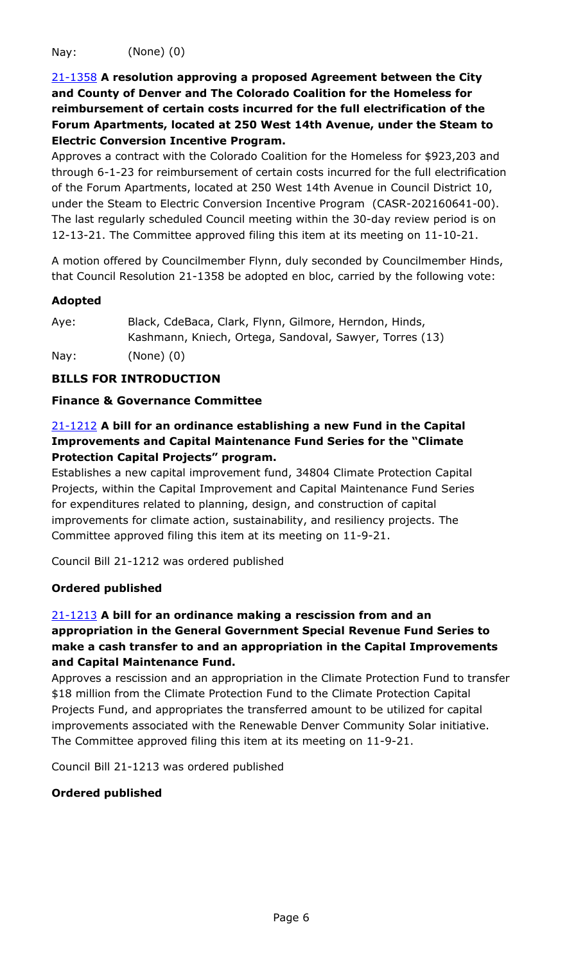Nay: (None) (0)

21-1358 **A resolution approving a proposed Agreement between the City and County of Denver and The Colorado Coalition for the Homeless for reimbursement of certain costs incurred for the full electrification of the Forum Apartments, located at 250 West 14th Avenue, under the Steam to Electric Conversion Incentive Program.**

Approves a contract with the Colorado Coalition for the Homeless for \$923,203 and [through 6-1-23 for reimbursement of certain costs incurred for the full electrification](http://denver.legistar.com/gateway.aspx?m=l&id=/matter.aspx?key=19876)  of the Forum Apartments, located at 250 West 14th Avenue in Council District 10, under the Steam to Electric Conversion Incentive Program (CASR-202160641-00). The last regularly scheduled Council meeting within the 30-day review period is on 12-13-21. The Committee approved filing this item at its meeting on 11-10-21.

A motion offered by Councilmember Flynn, duly seconded by Councilmember Hinds, that Council Resolution 21-1358 be adopted en bloc, carried by the following vote:

#### **Adopted**

Aye: Black, CdeBaca, Clark, Flynn, Gilmore, Herndon, Hinds, Kashmann, Kniech, Ortega, Sandoval, Sawyer, Torres (13)

Nay: (None) (0)

# **BILLS FOR INTRODUCTION**

#### **Finance & Governance Committee**

# 21-1212 **A bill for an ordinance establishing a new Fund in the Capital Improvements and Capital Maintenance Fund Series for the "Climate Protection Capital Projects" program.**

Establishes a new capital improvement fund, 34804 Climate Protection Capital [Projects, within the Capital Improvement and Capital Maintenance Fund Series](http://denver.legistar.com/gateway.aspx?m=l&id=/matter.aspx?key=19730)  for expenditures related to planning, design, and construction of capital improvements for climate action, sustainability, and resiliency projects. The Committee approved filing this item at its meeting on 11-9-21.

Council Bill 21-1212 was ordered published

# **Ordered published**

# 21-1213 **A bill for an ordinance making a rescission from and an appropriation in the General Government Special Revenue Fund Series to make a cash transfer to and an appropriation in the Capital Improvements and Capital Maintenance Fund.**

[Approves a rescission and an appropriation in the Climate Protection Fund to transfer](http://denver.legistar.com/gateway.aspx?m=l&id=/matter.aspx?key=19731)  \$18 million from the Climate Protection Fund to the Climate Protection Capital Projects Fund, and appropriates the transferred amount to be utilized for capital improvements associated with the Renewable Denver Community Solar initiative. The Committee approved filing this item at its meeting on 11-9-21.

Council Bill 21-1213 was ordered published

# **Ordered published**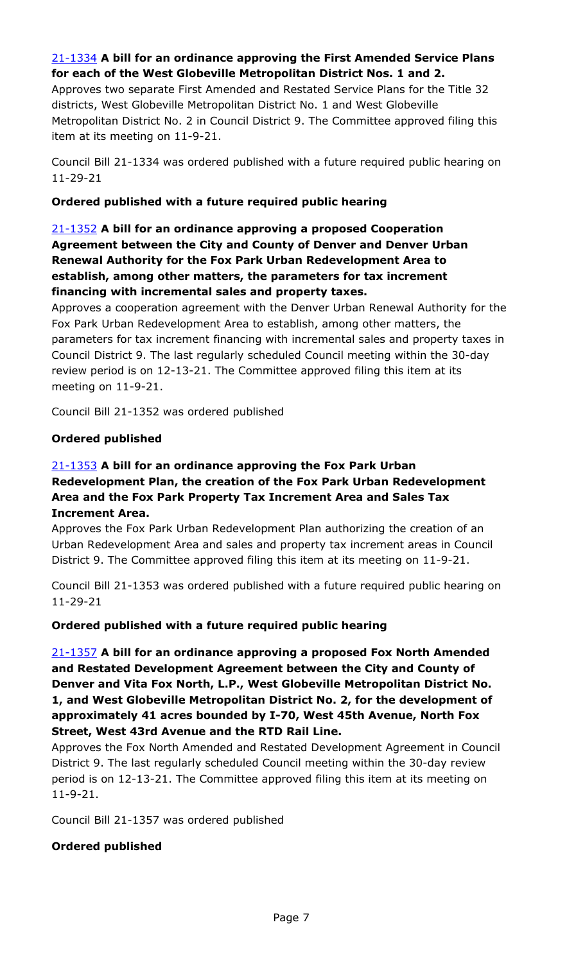# 21-1334 **A bill for an ordinance approving the First Amended Service Plans for each of the West Globeville Metropolitan District Nos. 1 and 2.**

Approves two separate First Amended and Restated Service Plans for the Title 32 districts, West Globeville Metropolitan District No. 1 and West Globeville [Metropolitan District No. 2 in Council District 9. The Committee approved filing this](http://denver.legistar.com/gateway.aspx?m=l&id=/matter.aspx?key=19852)  item at its meeting on 11-9-21.

Council Bill 21-1334 was ordered published with a future required public hearing on 11-29-21

#### **Ordered published with a future required public hearing**

# 21-1352 **A bill for an ordinance approving a proposed Cooperation Agreement between the City and County of Denver and Denver Urban Renewal Authority for the Fox Park Urban Redevelopment Area to establish, among other matters, the parameters for tax increment financing with incremental sales and property taxes.**

[Approves a cooperation agreement with the Denver Urban Renewal Authority for the](http://denver.legistar.com/gateway.aspx?m=l&id=/matter.aspx?key=19870)  Fox Park Urban Redevelopment Area to establish, among other matters, the parameters for tax increment financing with incremental sales and property taxes in Council District 9. The last regularly scheduled Council meeting within the 30-day review period is on 12-13-21. The Committee approved filing this item at its meeting on 11-9-21.

Council Bill 21-1352 was ordered published

#### **Ordered published**

# 21-1353 **A bill for an ordinance approving the Fox Park Urban Redevelopment Plan, the creation of the Fox Park Urban Redevelopment Area and the Fox Park Property Tax Increment Area and Sales Tax Increment Area.**

Approves the Fox Park Urban Redevelopment Plan authorizing the creation of an [Urban Redevelopment Area and sales and property tax increment areas in Council](http://denver.legistar.com/gateway.aspx?m=l&id=/matter.aspx?key=19871)  District 9. The Committee approved filing this item at its meeting on 11-9-21.

Council Bill 21-1353 was ordered published with a future required public hearing on 11-29-21

#### **Ordered published with a future required public hearing**

21-1357 **A bill for an ordinance approving a proposed Fox North Amended and Restated Development Agreement between the City and County of Denver and Vita Fox North, L.P., West Globeville Metropolitan District No. 1, and West Globeville Metropolitan District No. 2, for the development of approximately 41 acres bounded by I-70, West 45th Avenue, North Fox Street, West 43rd Avenue and the RTD Rail Line.**

[Approves the Fox North Amended and Restated Development Agreement in Council](http://denver.legistar.com/gateway.aspx?m=l&id=/matter.aspx?key=19875)  District 9. The last regularly scheduled Council meeting within the 30-day review period is on 12-13-21. The Committee approved filing this item at its meeting on 11-9-21.

Council Bill 21-1357 was ordered published

#### **Ordered published**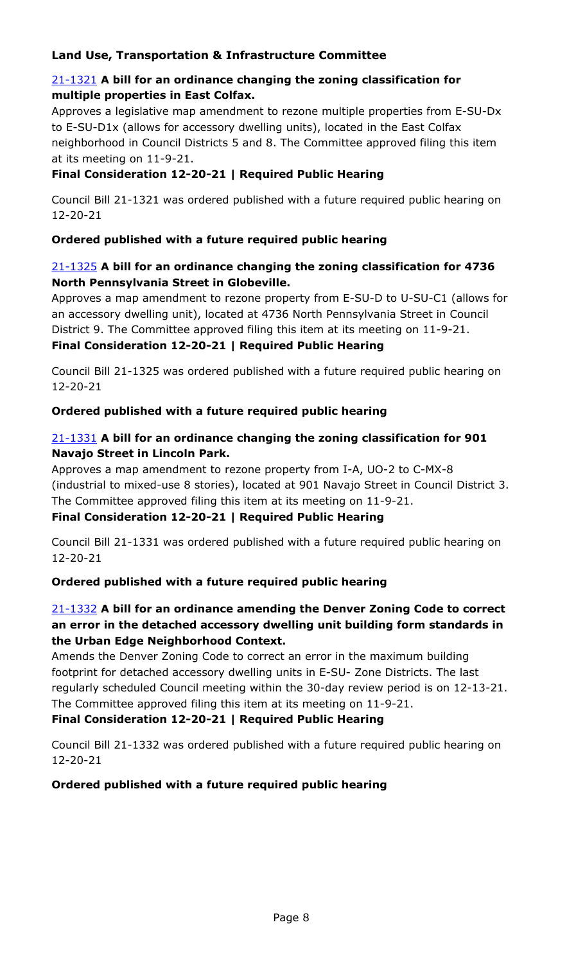# **Land Use, Transportation & Infrastructure Committee**

### 21-1321 **A bill for an ordinance changing the zoning classification for multiple properties in East Colfax.**

[Approves a legislative map amendment to rezone multiple properties from E-SU-Dx](http://denver.legistar.com/gateway.aspx?m=l&id=/matter.aspx?key=19839)  to E-SU-D1x (allows for accessory dwelling units), located in the East Colfax neighborhood in Council Districts 5 and 8. The Committee approved filing this item at its meeting on 11-9-21.

# **Final Consideration 12-20-21 | Required Public Hearing**

Council Bill 21-1321 was ordered published with a future required public hearing on 12-20-21

# **Ordered published with a future required public hearing**

# 21-1325 **A bill for an ordinance changing the zoning classification for 4736 North Pennsylvania Street in Globeville.**

[Approves a map amendment to rezone property from E-SU-D to U-SU-C1 \(allows for](http://denver.legistar.com/gateway.aspx?m=l&id=/matter.aspx?key=19843)  an accessory dwelling unit), located at 4736 North Pennsylvania Street in Council District 9. The Committee approved filing this item at its meeting on 11-9-21.

# **Final Consideration 12-20-21 | Required Public Hearing**

Council Bill 21-1325 was ordered published with a future required public hearing on 12-20-21

# **Ordered published with a future required public hearing**

# 21-1331 **A bill for an ordinance changing the zoning classification for 901 Navajo Street in Lincoln Park.**

Approves a map amendment to rezone property from I-A, UO-2 to C-MX-8 [\(industrial to mixed-use 8 stories\), located at 901 Navajo Street in Council District 3.](http://denver.legistar.com/gateway.aspx?m=l&id=/matter.aspx?key=19849)  The Committee approved filing this item at its meeting on 11-9-21.

# **Final Consideration 12-20-21 | Required Public Hearing**

Council Bill 21-1331 was ordered published with a future required public hearing on 12-20-21

# **Ordered published with a future required public hearing**

# 21-1332 **A bill for an ordinance amending the Denver Zoning Code to correct an error in the detached accessory dwelling unit building form standards in the Urban Edge Neighborhood Context.**

Amends the Denver Zoning Code to correct an error in the maximum building footprint for detached accessory dwelling units in E-SU- Zone Districts. The last [regularly scheduled Council meeting within the 30-day review period is on 12-13-21.](http://denver.legistar.com/gateway.aspx?m=l&id=/matter.aspx?key=19850)  The Committee approved filing this item at its meeting on 11-9-21.

# **Final Consideration 12-20-21 | Required Public Hearing**

Council Bill 21-1332 was ordered published with a future required public hearing on 12-20-21

# **Ordered published with a future required public hearing**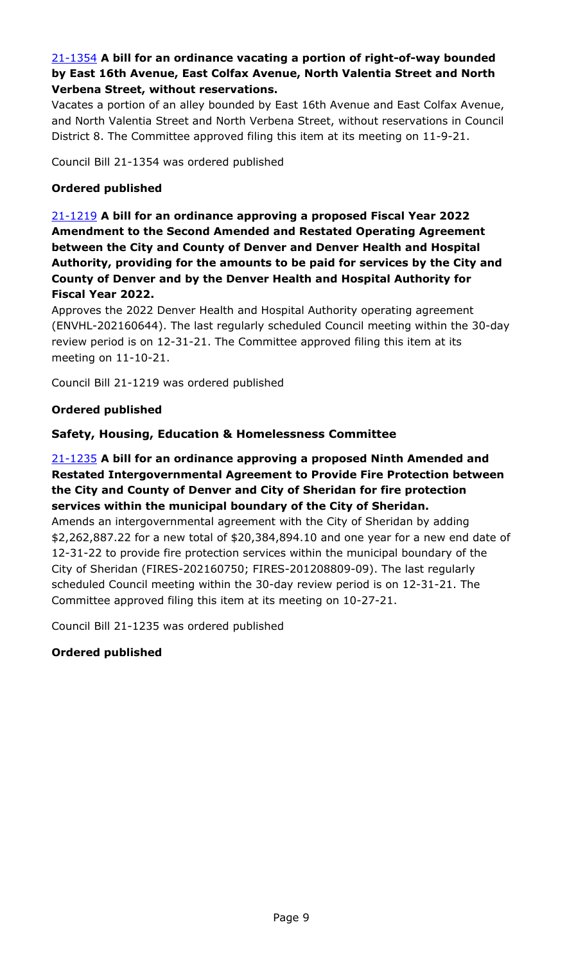# 21-1354 **A bill for an ordinance vacating a portion of right-of-way bounded by East 16th Avenue, East Colfax Avenue, North Valentia Street and North Verbena Street, without reservations.**

[Vacates a portion of an alley bounded by East 16th Avenue and East Colfax Avenue,](http://denver.legistar.com/gateway.aspx?m=l&id=/matter.aspx?key=19872)  and North Valentia Street and North Verbena Street, without reservations in Council District 8. The Committee approved filing this item at its meeting on 11-9-21.

Council Bill 21-1354 was ordered published

### **Ordered published**

21-1219 **A bill for an ordinance approving a proposed Fiscal Year 2022 Amendment to the Second Amended and Restated Operating Agreement between the City and County of Denver and Denver Health and Hospital Authority, providing for the amounts to be paid for services by the City and County of Denver and by the Denver Health and Hospital Authority for Fiscal Year 2022.**

Approves the 2022 Denver Health and Hospital Authority operating agreement [\(ENVHL-202160644\). The last regularly scheduled Council meeting within the 30-day](http://denver.legistar.com/gateway.aspx?m=l&id=/matter.aspx?key=19737)  review period is on 12-31-21. The Committee approved filing this item at its meeting on 11-10-21.

Council Bill 21-1219 was ordered published

#### **Ordered published**

#### **Safety, Housing, Education & Homelessness Committee**

# 21-1235 **A bill for an ordinance approving a proposed Ninth Amended and Restated Intergovernmental Agreement to Provide Fire Protection between the City and County of Denver and City of Sheridan for fire protection services within the municipal boundary of the City of Sheridan.**

Amends an intergovernmental agreement with the City of Sheridan by adding [\\$2,262,887.22 for a new total of \\$20,384,894.10 and one year for a new end date of](http://denver.legistar.com/gateway.aspx?m=l&id=/matter.aspx?key=19753)  12-31-22 to provide fire protection services within the municipal boundary of the City of Sheridan (FIRES-202160750; FIRES-201208809-09). The last regularly scheduled Council meeting within the 30-day review period is on 12-31-21. The Committee approved filing this item at its meeting on 10-27-21.

Council Bill 21-1235 was ordered published

# **Ordered published**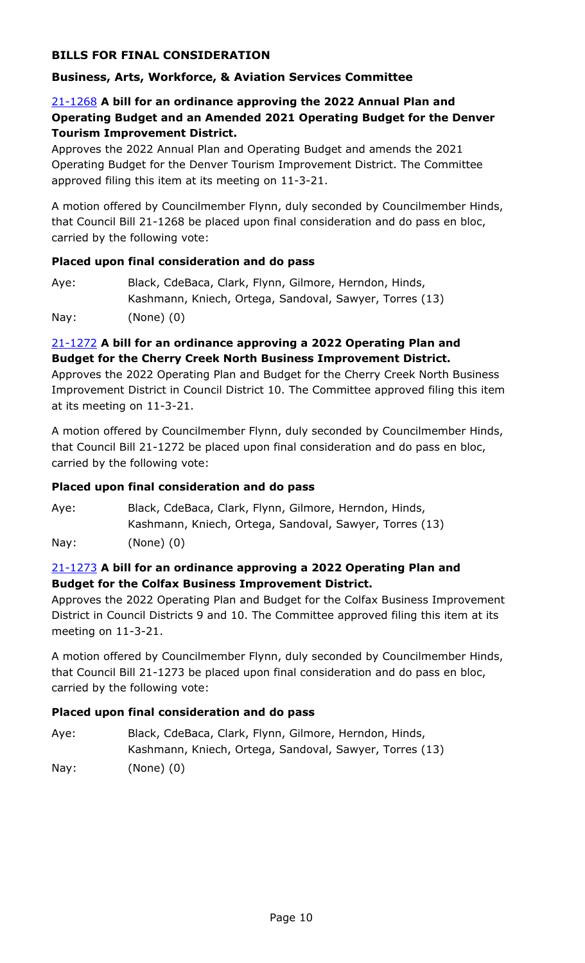# **BILLS FOR FINAL CONSIDERATION**

### **Business, Arts, Workforce, & Aviation Services Committee**

# 21-1268 **A bill for an ordinance approving the 2022 Annual Plan and [Operating Budget and an Amended 2021 Operating Budget for the Denver](http://denver.legistar.com/gateway.aspx?m=l&id=/matter.aspx?key=19786)  Tourism Improvement District.**

Approves the 2022 Annual Plan and Operating Budget and amends the 2021 Operating Budget for the Denver Tourism Improvement District. The Committee approved filing this item at its meeting on 11-3-21.

A motion offered by Councilmember Flynn, duly seconded by Councilmember Hinds, that Council Bill 21-1268 be placed upon final consideration and do pass en bloc, carried by the following vote:

#### **Placed upon final consideration and do pass**

| Aye: | Black, CdeBaca, Clark, Flynn, Gilmore, Herndon, Hinds,  |
|------|---------------------------------------------------------|
|      | Kashmann, Kniech, Ortega, Sandoval, Sawyer, Torres (13) |
| Nay: | $(None)$ $(0)$                                          |

### 21-1272 **A bill for an ordinance approving a 2022 Operating Plan and Budget for the Cherry Creek North Business Improvement District.**

Approves the 2022 Operating Plan and Budget for the Cherry Creek North Business [Improvement District in Council District 10. The Committee approved filing this item](http://denver.legistar.com/gateway.aspx?m=l&id=/matter.aspx?key=19790)  at its meeting on 11-3-21.

A motion offered by Councilmember Flynn, duly seconded by Councilmember Hinds, that Council Bill 21-1272 be placed upon final consideration and do pass en bloc, carried by the following vote:

#### **Placed upon final consideration and do pass**

Aye: Black, CdeBaca, Clark, Flynn, Gilmore, Herndon, Hinds, Kashmann, Kniech, Ortega, Sandoval, Sawyer, Torres (13) Nay: (None) (0)

#### 21-1273 **A bill for an ordinance approving a 2022 Operating Plan and Budget for the Colfax Business Improvement District.**

[Approves the 2022 Operating Plan and Budget for the Colfax Business Improvement](http://denver.legistar.com/gateway.aspx?m=l&id=/matter.aspx?key=19791)  District in Council Districts 9 and 10. The Committee approved filing this item at its meeting on 11-3-21.

A motion offered by Councilmember Flynn, duly seconded by Councilmember Hinds, that Council Bill 21-1273 be placed upon final consideration and do pass en bloc, carried by the following vote:

| Aye: | Black, CdeBaca, Clark, Flynn, Gilmore, Herndon, Hinds,  |
|------|---------------------------------------------------------|
|      | Kashmann, Kniech, Ortega, Sandoval, Sawyer, Torres (13) |
| Nay: | $(None)$ $(0)$                                          |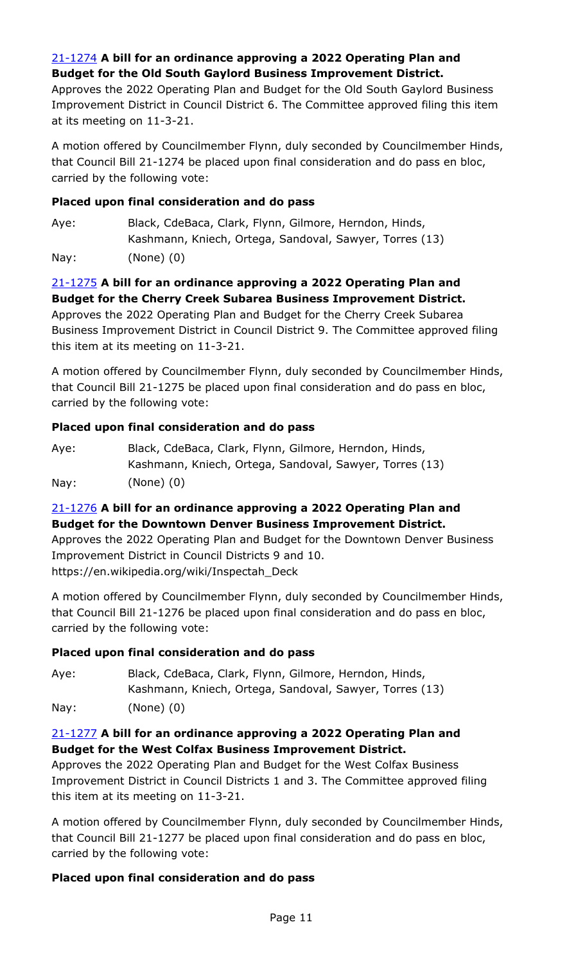# 21-1274 **A bill for an ordinance approving a 2022 Operating Plan and Budget for the Old South Gaylord Business Improvement District.**

Approves the 2022 Operating Plan and Budget for the Old South Gaylord Business [Improvement District in Council District 6. The Committee approved filing this item](http://denver.legistar.com/gateway.aspx?m=l&id=/matter.aspx?key=19792)  at its meeting on 11-3-21.

A motion offered by Councilmember Flynn, duly seconded by Councilmember Hinds, that Council Bill 21-1274 be placed upon final consideration and do pass en bloc, carried by the following vote:

# **Placed upon final consideration and do pass**

Aye: Black, CdeBaca, Clark, Flynn, Gilmore, Herndon, Hinds, Kashmann, Kniech, Ortega, Sandoval, Sawyer, Torres (13) Nay: (None) (0)

# 21-1275 **A bill for an ordinance approving a 2022 Operating Plan and Budget for the Cherry Creek Subarea Business Improvement District.**

Approves the 2022 Operating Plan and Budget for the Cherry Creek Subarea [Business Improvement District in Council District 9. The Committee approved filing](http://denver.legistar.com/gateway.aspx?m=l&id=/matter.aspx?key=19793)  this item at its meeting on 11-3-21.

A motion offered by Councilmember Flynn, duly seconded by Councilmember Hinds, that Council Bill 21-1275 be placed upon final consideration and do pass en bloc, carried by the following vote:

# **Placed upon final consideration and do pass**

| Aye: | Black, CdeBaca, Clark, Flynn, Gilmore, Herndon, Hinds,  |
|------|---------------------------------------------------------|
|      | Kashmann, Kniech, Ortega, Sandoval, Sawyer, Torres (13) |
| Nay: | $(None)$ $(0)$                                          |

# 21-1276 **A bill for an ordinance approving a 2022 Operating Plan and Budget for the Downtown Denver Business Improvement District.**

[Approves the 2022 Operating Plan and Budget for the Downtown Denver Business](http://denver.legistar.com/gateway.aspx?m=l&id=/matter.aspx?key=19794)  Improvement District in Council Districts 9 and 10. https://en.wikipedia.org/wiki/Inspectah\_Deck

A motion offered by Councilmember Flynn, duly seconded by Councilmember Hinds, that Council Bill 21-1276 be placed upon final consideration and do pass en bloc, carried by the following vote:

# **Placed upon final consideration and do pass**

Aye: Black, CdeBaca, Clark, Flynn, Gilmore, Herndon, Hinds, Kashmann, Kniech, Ortega, Sandoval, Sawyer, Torres (13) Nay: (None) (0)

# 21-1277 **A bill for an ordinance approving a 2022 Operating Plan and Budget for the West Colfax Business Improvement District.**

Approves the 2022 Operating Plan and Budget for the West Colfax Business [Improvement District in Council Districts 1 and 3. The Committee approved filing](http://denver.legistar.com/gateway.aspx?m=l&id=/matter.aspx?key=19795)  this item at its meeting on 11-3-21.

A motion offered by Councilmember Flynn, duly seconded by Councilmember Hinds, that Council Bill 21-1277 be placed upon final consideration and do pass en bloc, carried by the following vote: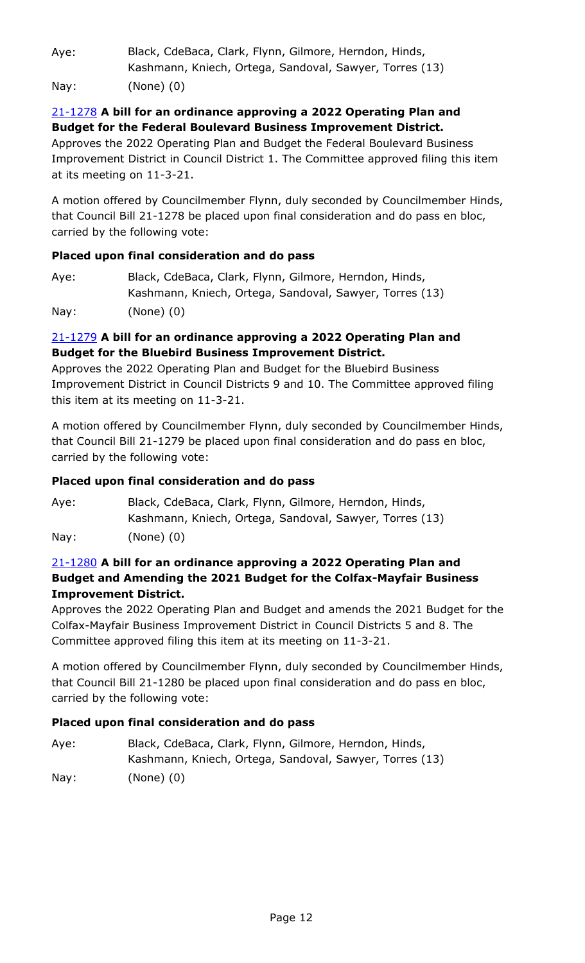Aye: Black, CdeBaca, Clark, Flynn, Gilmore, Herndon, Hinds, Kashmann, Kniech, Ortega, Sandoval, Sawyer, Torres (13) Nay: (None) (0)

# 21-1278 **A bill for an ordinance approving a 2022 Operating Plan and Budget for the Federal Boulevard Business Improvement District.**

Approves the 2022 Operating Plan and Budget the Federal Boulevard Business [Improvement District in Council District 1. The Committee approved filing this item](http://denver.legistar.com/gateway.aspx?m=l&id=/matter.aspx?key=19796)  at its meeting on 11-3-21.

A motion offered by Councilmember Flynn, duly seconded by Councilmember Hinds, that Council Bill 21-1278 be placed upon final consideration and do pass en bloc, carried by the following vote:

# **Placed upon final consideration and do pass**

| Aye: | Black, CdeBaca, Clark, Flynn, Gilmore, Herndon, Hinds,  |
|------|---------------------------------------------------------|
|      | Kashmann, Kniech, Ortega, Sandoval, Sawyer, Torres (13) |
| Nay: | $(None)$ $(0)$                                          |

# 21-1279 **A bill for an ordinance approving a 2022 Operating Plan and Budget for the Bluebird Business Improvement District.**

Approves the 2022 Operating Plan and Budget for the Bluebird Business [Improvement District in Council Districts 9 and 10. The Committee approved filing](http://denver.legistar.com/gateway.aspx?m=l&id=/matter.aspx?key=19797)  this item at its meeting on 11-3-21.

A motion offered by Councilmember Flynn, duly seconded by Councilmember Hinds, that Council Bill 21-1279 be placed upon final consideration and do pass en bloc, carried by the following vote:

# **Placed upon final consideration and do pass**

Aye: Black, CdeBaca, Clark, Flynn, Gilmore, Herndon, Hinds, Kashmann, Kniech, Ortega, Sandoval, Sawyer, Torres (13) Nay: (None) (0)

# 21-1280 **A bill for an ordinance approving a 2022 Operating Plan and Budget and Amending the 2021 Budget for the Colfax-Mayfair Business Improvement District.**

[Approves the 2022 Operating Plan and Budget and amends the 2021 Budget for the](http://denver.legistar.com/gateway.aspx?m=l&id=/matter.aspx?key=19798)  Colfax-Mayfair Business Improvement District in Council Districts 5 and 8. The Committee approved filing this item at its meeting on 11-3-21.

A motion offered by Councilmember Flynn, duly seconded by Councilmember Hinds, that Council Bill 21-1280 be placed upon final consideration and do pass en bloc, carried by the following vote:

| Aye: | Black, CdeBaca, Clark, Flynn, Gilmore, Herndon, Hinds,  |
|------|---------------------------------------------------------|
|      | Kashmann, Kniech, Ortega, Sandoval, Sawyer, Torres (13) |
| Nay: | (None) (0)                                              |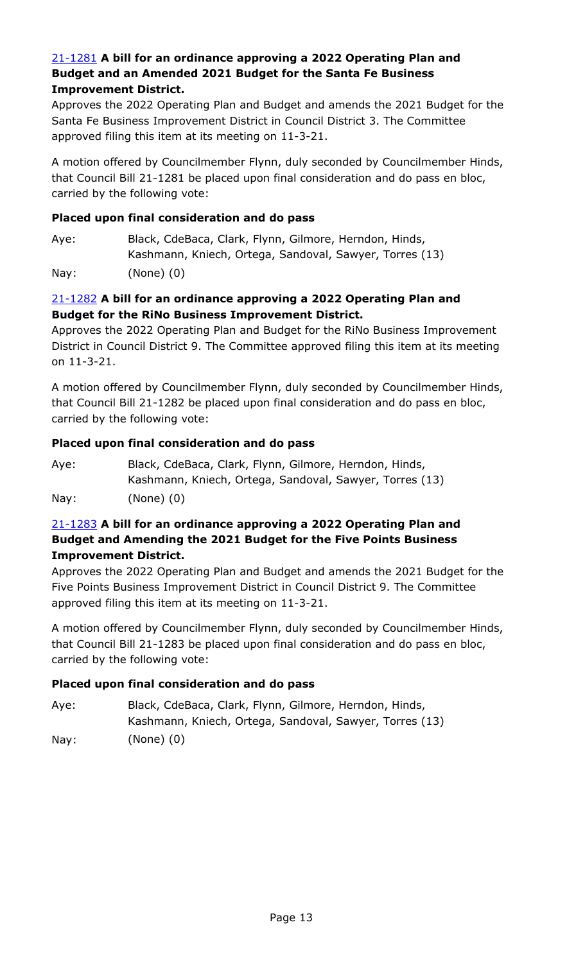### 21-1281 **A bill for an ordinance approving a 2022 Operating Plan and Budget and an Amended 2021 Budget for the Santa Fe Business Improvement District.**

[Approves the 2022 Operating Plan and Budget and amends the 2021 Budget for the](http://denver.legistar.com/gateway.aspx?m=l&id=/matter.aspx?key=19799)  Santa Fe Business Improvement District in Council District 3. The Committee approved filing this item at its meeting on 11-3-21.

A motion offered by Councilmember Flynn, duly seconded by Councilmember Hinds, that Council Bill 21-1281 be placed upon final consideration and do pass en bloc, carried by the following vote:

### **Placed upon final consideration and do pass**

Aye: Black, CdeBaca, Clark, Flynn, Gilmore, Herndon, Hinds, Kashmann, Kniech, Ortega, Sandoval, Sawyer, Torres (13)

Nay: (None) (0)

# 21-1282 **A bill for an ordinance approving a 2022 Operating Plan and Budget for the RiNo Business Improvement District.**

Approves the 2022 Operating Plan and Budget for the RiNo Business Improvement [District in Council District 9. The Committee approved filing this item at its meeting](http://denver.legistar.com/gateway.aspx?m=l&id=/matter.aspx?key=19800)  on 11-3-21.

A motion offered by Councilmember Flynn, duly seconded by Councilmember Hinds, that Council Bill 21-1282 be placed upon final consideration and do pass en bloc, carried by the following vote:

#### **Placed upon final consideration and do pass**

| Aye: | Black, CdeBaca, Clark, Flynn, Gilmore, Herndon, Hinds,  |
|------|---------------------------------------------------------|
|      | Kashmann, Kniech, Ortega, Sandoval, Sawyer, Torres (13) |
| Nay: | $(None)$ $(0)$                                          |

# 21-1283 **A bill for an ordinance approving a 2022 Operating Plan and Budget and Amending the 2021 Budget for the Five Points Business Improvement District.**

[Approves the 2022 Operating Plan and Budget and amends the 2021 Budget for the](http://denver.legistar.com/gateway.aspx?m=l&id=/matter.aspx?key=19801)  Five Points Business Improvement District in Council District 9. The Committee approved filing this item at its meeting on 11-3-21.

A motion offered by Councilmember Flynn, duly seconded by Councilmember Hinds, that Council Bill 21-1283 be placed upon final consideration and do pass en bloc, carried by the following vote:

| Aye: | Black, CdeBaca, Clark, Flynn, Gilmore, Herndon, Hinds,  |
|------|---------------------------------------------------------|
|      | Kashmann, Kniech, Ortega, Sandoval, Sawyer, Torres (13) |
| Nay: | $(None)$ $(0)$                                          |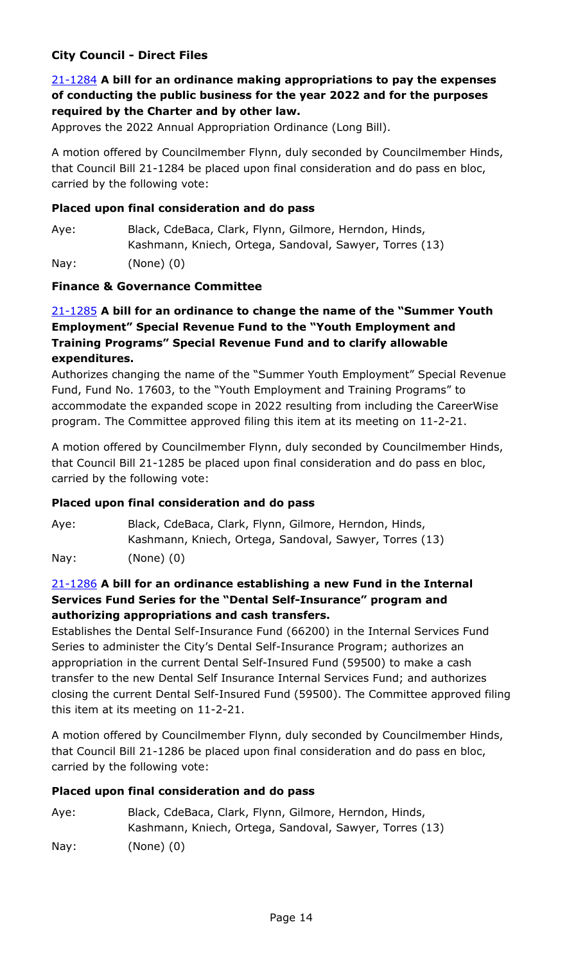# **City Council - Direct Files**

# 21-1284 **A bill for an ordinance making appropriations to pay the expenses [of conducting the public business for the year 2022 and for the purposes](http://denver.legistar.com/gateway.aspx?m=l&id=/matter.aspx?key=19802)  required by the Charter and by other law.**

Approves the 2022 Annual Appropriation Ordinance (Long Bill).

A motion offered by Councilmember Flynn, duly seconded by Councilmember Hinds, that Council Bill 21-1284 be placed upon final consideration and do pass en bloc, carried by the following vote:

#### **Placed upon final consideration and do pass**

Aye: Black, CdeBaca, Clark, Flynn, Gilmore, Herndon, Hinds, Kashmann, Kniech, Ortega, Sandoval, Sawyer, Torres (13) Nay: (None) (0)

#### **Finance & Governance Committee**

# 21-1285 **A bill for an ordinance to change the name of the "Summer Youth Employment" Special Revenue Fund to the "Youth Employment and Training Programs" Special Revenue Fund and to clarify allowable expenditures.**

[Authorizes changing the name of the "Summer Youth Employment" Special Revenue](http://denver.legistar.com/gateway.aspx?m=l&id=/matter.aspx?key=19803)  Fund, Fund No. 17603, to the "Youth Employment and Training Programs" to accommodate the expanded scope in 2022 resulting from including the CareerWise program. The Committee approved filing this item at its meeting on 11-2-21.

A motion offered by Councilmember Flynn, duly seconded by Councilmember Hinds, that Council Bill 21-1285 be placed upon final consideration and do pass en bloc, carried by the following vote:

#### **Placed upon final consideration and do pass**

Aye: Black, CdeBaca, Clark, Flynn, Gilmore, Herndon, Hinds, Kashmann, Kniech, Ortega, Sandoval, Sawyer, Torres (13) Nay: (None) (0)

# 21-1286 **A bill for an ordinance establishing a new Fund in the Internal Services Fund Series for the "Dental Self-Insurance" program and authorizing appropriations and cash transfers.**

Establishes the Dental Self-Insurance Fund (66200) in the Internal Services Fund Series to administer the City's Dental Self-Insurance Program; authorizes an appropriation in the current Dental Self-Insured Fund (59500) to make a cash transfer to the new Dental Self Insurance Internal Services Fund; and authorizes [closing the current Dental Self-Insured Fund \(59500\). The Committee approved filing](http://denver.legistar.com/gateway.aspx?m=l&id=/matter.aspx?key=19804)  this item at its meeting on 11-2-21.

A motion offered by Councilmember Flynn, duly seconded by Councilmember Hinds, that Council Bill 21-1286 be placed upon final consideration and do pass en bloc, carried by the following vote:

#### **Placed upon final consideration and do pass**

Aye: Black, CdeBaca, Clark, Flynn, Gilmore, Herndon, Hinds, Kashmann, Kniech, Ortega, Sandoval, Sawyer, Torres (13) Nay: (None) (0)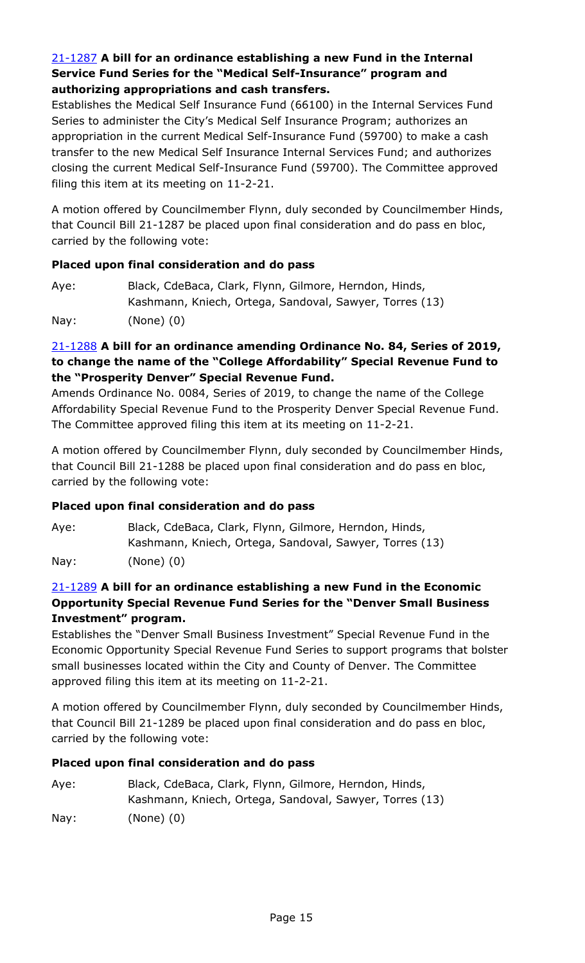# 21-1287 **A bill for an ordinance establishing a new Fund in the Internal Service Fund Series for the "Medical Self-Insurance" program and authorizing appropriations and cash transfers.**

Establishes the Medical Self Insurance Fund (66100) in the Internal Services Fund Series to administer the City's Medical Self Insurance Program; authorizes an appropriation in the current Medical Self-Insurance Fund (59700) to make a cash transfer to the new Medical Self Insurance Internal Services Fund; and authorizes [closing the current Medical Self-Insurance Fund \(59700\). The Committee approved](http://denver.legistar.com/gateway.aspx?m=l&id=/matter.aspx?key=19805)  filing this item at its meeting on 11-2-21.

A motion offered by Councilmember Flynn, duly seconded by Councilmember Hinds, that Council Bill 21-1287 be placed upon final consideration and do pass en bloc, carried by the following vote:

#### **Placed upon final consideration and do pass**

| Aye: | Black, CdeBaca, Clark, Flynn, Gilmore, Herndon, Hinds,  |
|------|---------------------------------------------------------|
|      | Kashmann, Kniech, Ortega, Sandoval, Sawyer, Torres (13) |
| Nay: | $(None)$ $(0)$                                          |

# 21-1288 **A bill for an ordinance amending Ordinance No. 84, Series of 2019, to change the name of the "College Affordability" Special Revenue Fund to the "Prosperity Denver" Special Revenue Fund.**

Amends Ordinance No. 0084, Series of 2019, to change the name of the College [Affordability Special Revenue Fund to the Prosperity Denver Special Revenue Fund.](http://denver.legistar.com/gateway.aspx?m=l&id=/matter.aspx?key=19806)  The Committee approved filing this item at its meeting on 11-2-21.

A motion offered by Councilmember Flynn, duly seconded by Councilmember Hinds, that Council Bill 21-1288 be placed upon final consideration and do pass en bloc, carried by the following vote:

# **Placed upon final consideration and do pass**

Aye: Black, CdeBaca, Clark, Flynn, Gilmore, Herndon, Hinds, Kashmann, Kniech, Ortega, Sandoval, Sawyer, Torres (13) Nay: (None) (0)

# 21-1289 **A bill for an ordinance establishing a new Fund in the Economic Opportunity Special Revenue Fund Series for the "Denver Small Business Investment" program.**

Establishes the "Denver Small Business Investment" Special Revenue Fund in the [Economic Opportunity Special Revenue Fund Series to support programs that bolster](http://denver.legistar.com/gateway.aspx?m=l&id=/matter.aspx?key=19807)  small businesses located within the City and County of Denver. The Committee approved filing this item at its meeting on 11-2-21.

A motion offered by Councilmember Flynn, duly seconded by Councilmember Hinds, that Council Bill 21-1289 be placed upon final consideration and do pass en bloc, carried by the following vote:

| Aye:            | Black, CdeBaca, Clark, Flynn, Gilmore, Herndon, Hinds,  |
|-----------------|---------------------------------------------------------|
|                 | Kashmann, Kniech, Ortega, Sandoval, Sawyer, Torres (13) |
| $\textsf{Nay}:$ | (None) (0)                                              |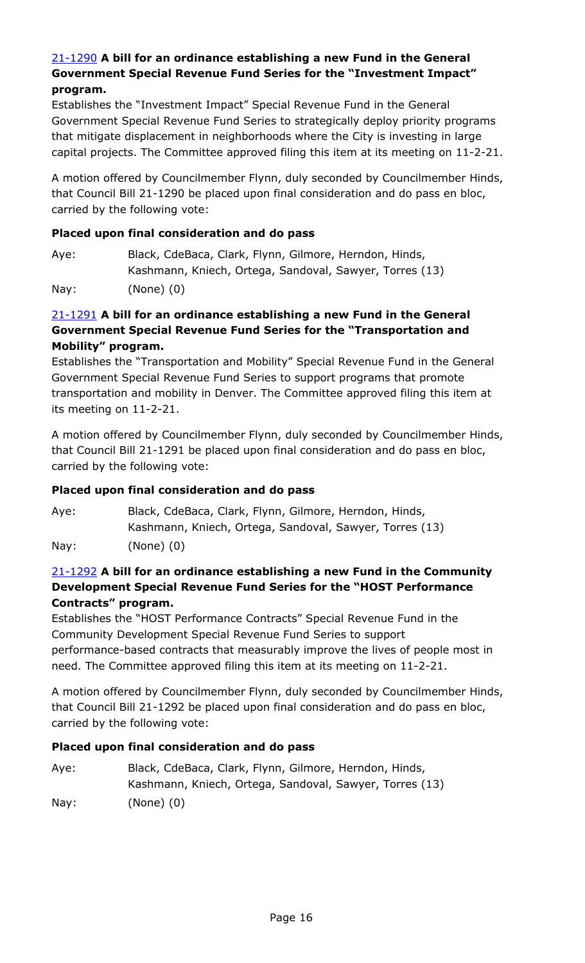### 21-1290 **A bill for an ordinance establishing a new Fund in the General Government Special Revenue Fund Series for the "Investment Impact" program.**

Establishes the "Investment Impact" Special Revenue Fund in the General Government Special Revenue Fund Series to strategically deploy priority programs that mitigate displacement in neighborhoods where the City is investing in large [capital projects. The Committee approved filing this item at its meeting on 11-2-21.](http://denver.legistar.com/gateway.aspx?m=l&id=/matter.aspx?key=19808)

A motion offered by Councilmember Flynn, duly seconded by Councilmember Hinds, that Council Bill 21-1290 be placed upon final consideration and do pass en bloc, carried by the following vote:

#### **Placed upon final consideration and do pass**

Aye: Black, CdeBaca, Clark, Flynn, Gilmore, Herndon, Hinds, Kashmann, Kniech, Ortega, Sandoval, Sawyer, Torres (13)

Nay: (None) (0)

# 21-1291 **A bill for an ordinance establishing a new Fund in the General Government Special Revenue Fund Series for the "Transportation and Mobility" program.**

[Establishes the "Transportation and Mobility" Special Revenue Fund in the General](http://denver.legistar.com/gateway.aspx?m=l&id=/matter.aspx?key=19809)  Government Special Revenue Fund Series to support programs that promote transportation and mobility in Denver. The Committee approved filing this item at its meeting on 11-2-21.

A motion offered by Councilmember Flynn, duly seconded by Councilmember Hinds, that Council Bill 21-1291 be placed upon final consideration and do pass en bloc, carried by the following vote:

# **Placed upon final consideration and do pass**

Aye: Black, CdeBaca, Clark, Flynn, Gilmore, Herndon, Hinds, Kashmann, Kniech, Ortega, Sandoval, Sawyer, Torres (13) Nay: (None) (0)

# 21-1292 **A bill for an ordinance establishing a new Fund in the Community Development Special Revenue Fund Series for the "HOST Performance Contracts" program.**

Establishes the "HOST Performance Contracts" Special Revenue Fund in the Community Development Special Revenue Fund Series to support [performance-based contracts that measurably improve the lives of people most in](http://denver.legistar.com/gateway.aspx?m=l&id=/matter.aspx?key=19810)  need. The Committee approved filing this item at its meeting on 11-2-21.

A motion offered by Councilmember Flynn, duly seconded by Councilmember Hinds, that Council Bill 21-1292 be placed upon final consideration and do pass en bloc, carried by the following vote:

# **Placed upon final consideration and do pass**

Aye: Black, CdeBaca, Clark, Flynn, Gilmore, Herndon, Hinds, Kashmann, Kniech, Ortega, Sandoval, Sawyer, Torres (13) Nay: (None) (0)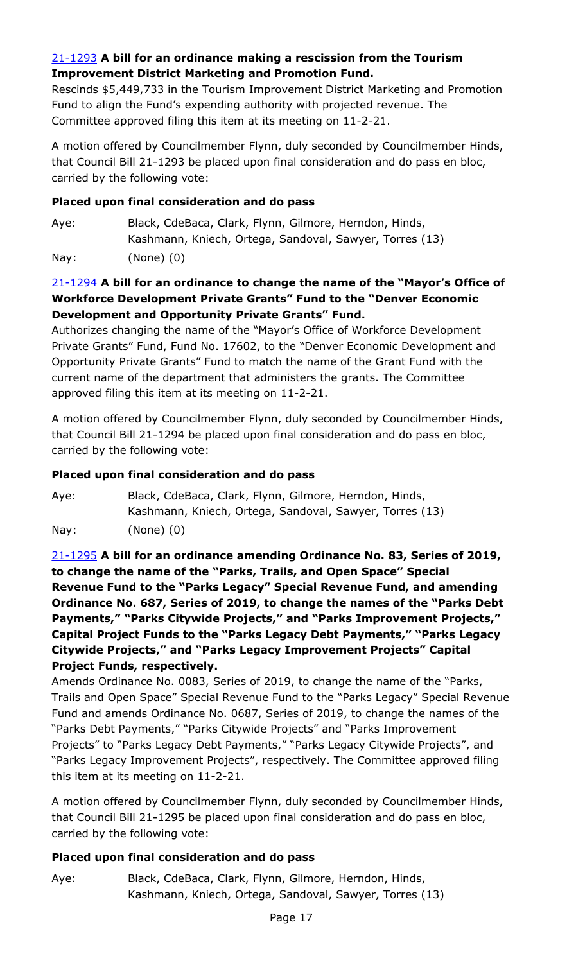# 21-1293 **A bill for an ordinance making a rescission from the Tourism Improvement District Marketing and Promotion Fund.**

[Rescinds \\$5,449,733 in the Tourism Improvement District Marketing and Promotion](http://denver.legistar.com/gateway.aspx?m=l&id=/matter.aspx?key=19811)  Fund to align the Fund's expending authority with projected revenue. The Committee approved filing this item at its meeting on 11-2-21.

A motion offered by Councilmember Flynn, duly seconded by Councilmember Hinds, that Council Bill 21-1293 be placed upon final consideration and do pass en bloc, carried by the following vote:

### **Placed upon final consideration and do pass**

Aye: Black, CdeBaca, Clark, Flynn, Gilmore, Herndon, Hinds, Kashmann, Kniech, Ortega, Sandoval, Sawyer, Torres (13) Nay: (None) (0)

# 21-1294 **A bill for an ordinance to change the name of the "Mayor's Office of Workforce Development Private Grants" Fund to the "Denver Economic Development and Opportunity Private Grants" Fund.**

Authorizes changing the name of the "Mayor's Office of Workforce Development [Private Grants" Fund, Fund No. 17602, to the "Denver Economic Development and](http://denver.legistar.com/gateway.aspx?m=l&id=/matter.aspx?key=19812)  Opportunity Private Grants" Fund to match the name of the Grant Fund with the current name of the department that administers the grants. The Committee approved filing this item at its meeting on 11-2-21.

A motion offered by Councilmember Flynn, duly seconded by Councilmember Hinds, that Council Bill 21-1294 be placed upon final consideration and do pass en bloc, carried by the following vote:

# **Placed upon final consideration and do pass**

Aye: Black, CdeBaca, Clark, Flynn, Gilmore, Herndon, Hinds, Kashmann, Kniech, Ortega, Sandoval, Sawyer, Torres (13) Nay: (None) (0)

21-1295 **A bill for an ordinance amending Ordinance No. 83, Series of 2019, to change the name of the "Parks, Trails, and Open Space" Special Revenue Fund to the "Parks Legacy" Special Revenue Fund, and amending Ordinance No. 687, Series of 2019, to change the names of the "Parks Debt Payments," "Parks Citywide Projects," and "Parks Improvement Projects," Capital Project Funds to the "Parks Legacy Debt Payments," "Parks Legacy Citywide Projects," and "Parks Legacy Improvement Projects" Capital Project Funds, respectively.**

Amends Ordinance No. 0083, Series of 2019, to change the name of the "Parks, [Trails and Open Space" Special Revenue Fund to the "Parks Legacy" Special Revenue](http://denver.legistar.com/gateway.aspx?m=l&id=/matter.aspx?key=19813)  Fund and amends Ordinance No. 0687, Series of 2019, to change the names of the "Parks Debt Payments," "Parks Citywide Projects" and "Parks Improvement Projects" to "Parks Legacy Debt Payments," "Parks Legacy Citywide Projects", and "Parks Legacy Improvement Projects", respectively. The Committee approved filing this item at its meeting on 11-2-21.

A motion offered by Councilmember Flynn, duly seconded by Councilmember Hinds, that Council Bill 21-1295 be placed upon final consideration and do pass en bloc, carried by the following vote:

# **Placed upon final consideration and do pass**

Aye: Black, CdeBaca, Clark, Flynn, Gilmore, Herndon, Hinds, Kashmann, Kniech, Ortega, Sandoval, Sawyer, Torres (13)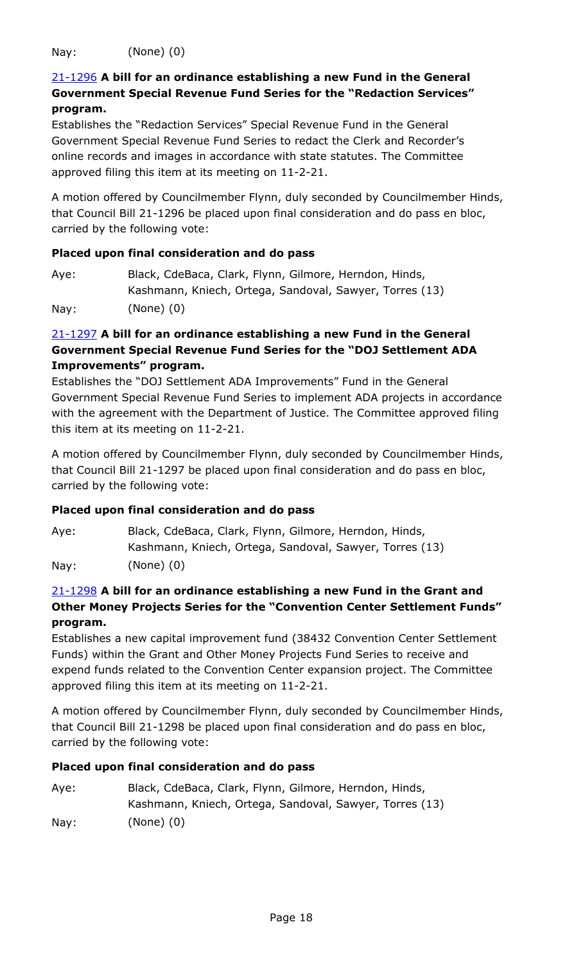Nay: (None) (0)

# 21-1296 **A bill for an ordinance establishing a new Fund in the General [Government Special Revenue Fund Series for the "Redaction Services"](http://denver.legistar.com/gateway.aspx?m=l&id=/matter.aspx?key=19814)  program.**

Establishes the "Redaction Services" Special Revenue Fund in the General Government Special Revenue Fund Series to redact the Clerk and Recorder's online records and images in accordance with state statutes. The Committee approved filing this item at its meeting on 11-2-21.

A motion offered by Councilmember Flynn, duly seconded by Councilmember Hinds, that Council Bill 21-1296 be placed upon final consideration and do pass en bloc, carried by the following vote:

#### **Placed upon final consideration and do pass**

| Aye: | Black, CdeBaca, Clark, Flynn, Gilmore, Herndon, Hinds,  |
|------|---------------------------------------------------------|
|      | Kashmann, Kniech, Ortega, Sandoval, Sawyer, Torres (13) |
| Nay: | $(None)$ $(0)$                                          |

# 21-1297 **A bill for an ordinance establishing a new Fund in the General Government Special Revenue Fund Series for the "DOJ Settlement ADA Improvements" program.**

Establishes the "DOJ Settlement ADA Improvements" Fund in the General [Government Special Revenue Fund Series to implement ADA projects in accordance](http://denver.legistar.com/gateway.aspx?m=l&id=/matter.aspx?key=19815)  with the agreement with the Department of Justice. The Committee approved filing this item at its meeting on 11-2-21.

A motion offered by Councilmember Flynn, duly seconded by Councilmember Hinds, that Council Bill 21-1297 be placed upon final consideration and do pass en bloc, carried by the following vote:

# **Placed upon final consideration and do pass**

Aye: Black, CdeBaca, Clark, Flynn, Gilmore, Herndon, Hinds, Kashmann, Kniech, Ortega, Sandoval, Sawyer, Torres (13) Nay: (None) (0)

# 21-1298 **A bill for an ordinance establishing a new Fund in the Grant and [Other Money Projects Series for the "Convention Center Settlement Funds"](http://denver.legistar.com/gateway.aspx?m=l&id=/matter.aspx?key=19816)  program.**

Establishes a new capital improvement fund (38432 Convention Center Settlement Funds) within the Grant and Other Money Projects Fund Series to receive and expend funds related to the Convention Center expansion project. The Committee approved filing this item at its meeting on 11-2-21.

A motion offered by Councilmember Flynn, duly seconded by Councilmember Hinds, that Council Bill 21-1298 be placed upon final consideration and do pass en bloc, carried by the following vote:

| Aye: | Black, CdeBaca, Clark, Flynn, Gilmore, Herndon, Hinds,  |
|------|---------------------------------------------------------|
|      | Kashmann, Kniech, Ortega, Sandoval, Sawyer, Torres (13) |
| Nay: | (None) (0)                                              |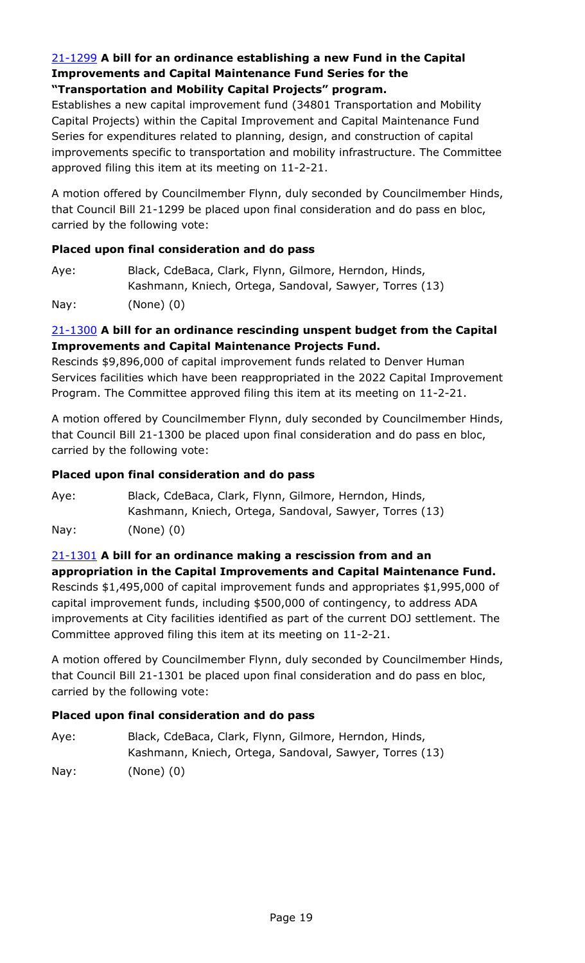### 21-1299 **A bill for an ordinance establishing a new Fund in the Capital Improvements and Capital Maintenance Fund Series for the "Transportation and Mobility Capital Projects" program.**

Establishes a new capital improvement fund (34801 Transportation and Mobility Capital Projects) within the Capital Improvement and Capital Maintenance Fund Series for expenditures related to planning, design, and construction of capital [improvements specific to transportation and mobility infrastructure. The Committee](http://denver.legistar.com/gateway.aspx?m=l&id=/matter.aspx?key=19817)  approved filing this item at its meeting on 11-2-21.

A motion offered by Councilmember Flynn, duly seconded by Councilmember Hinds, that Council Bill 21-1299 be placed upon final consideration and do pass en bloc, carried by the following vote:

# **Placed upon final consideration and do pass**

Aye: Black, CdeBaca, Clark, Flynn, Gilmore, Herndon, Hinds, Kashmann, Kniech, Ortega, Sandoval, Sawyer, Torres (13) Nay: (None) (0)

# 21-1300 **A bill for an ordinance rescinding unspent budget from the Capital Improvements and Capital Maintenance Projects Fund.**

Rescinds \$9,896,000 of capital improvement funds related to Denver Human [Services facilities which have been reappropriated in the 2022 Capital Improvement](http://denver.legistar.com/gateway.aspx?m=l&id=/matter.aspx?key=19818)  Program. The Committee approved filing this item at its meeting on 11-2-21.

A motion offered by Councilmember Flynn, duly seconded by Councilmember Hinds, that Council Bill 21-1300 be placed upon final consideration and do pass en bloc, carried by the following vote:

### **Placed upon final consideration and do pass**

Aye: Black, CdeBaca, Clark, Flynn, Gilmore, Herndon, Hinds, Kashmann, Kniech, Ortega, Sandoval, Sawyer, Torres (13) Nay: (None) (0)

# 21-1301 **A bill for an ordinance making a rescission from and an appropriation in the Capital Improvements and Capital Maintenance Fund.**

Rescinds \$1,495,000 of capital improvement funds and appropriates \$1,995,000 of capital improvement funds, including \$500,000 of contingency, to address ADA [improvements at City facilities identified as part of the current DOJ settlement. The](http://denver.legistar.com/gateway.aspx?m=l&id=/matter.aspx?key=19819)  Committee approved filing this item at its meeting on 11-2-21.

A motion offered by Councilmember Flynn, duly seconded by Councilmember Hinds, that Council Bill 21-1301 be placed upon final consideration and do pass en bloc, carried by the following vote:

# **Placed upon final consideration and do pass**

Aye: Black, CdeBaca, Clark, Flynn, Gilmore, Herndon, Hinds, Kashmann, Kniech, Ortega, Sandoval, Sawyer, Torres (13) Nay: (None) (0)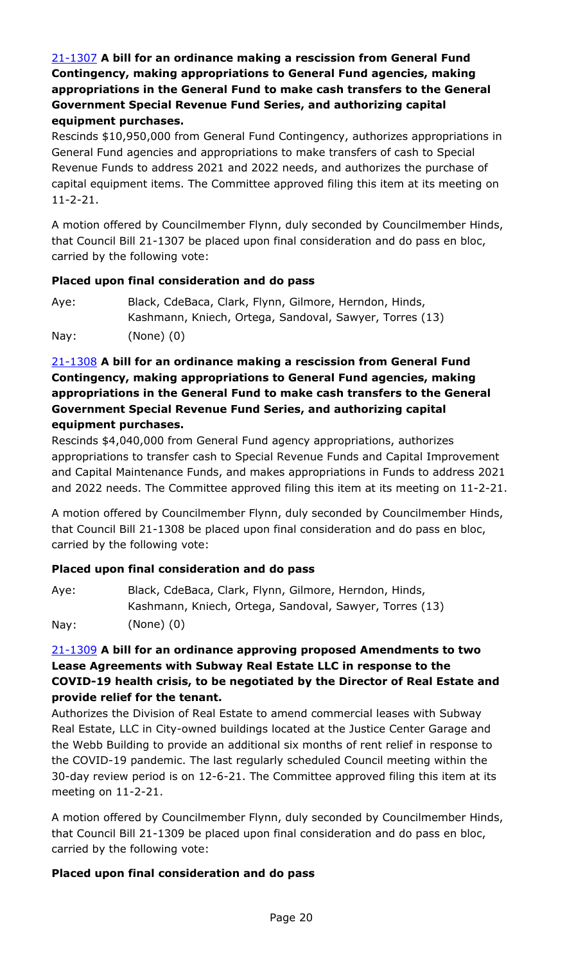# 21-1307 **A bill for an ordinance making a rescission from General Fund Contingency, making appropriations to General Fund agencies, making appropriations in the General Fund to make cash transfers to the General Government Special Revenue Fund Series, and authorizing capital equipment purchases.**

[Rescinds \\$10,950,000 from General Fund Contingency, authorizes appropriations in](http://denver.legistar.com/gateway.aspx?m=l&id=/matter.aspx?key=19825)  General Fund agencies and appropriations to make transfers of cash to Special Revenue Funds to address 2021 and 2022 needs, and authorizes the purchase of capital equipment items. The Committee approved filing this item at its meeting on 11-2-21.

A motion offered by Councilmember Flynn, duly seconded by Councilmember Hinds, that Council Bill 21-1307 be placed upon final consideration and do pass en bloc, carried by the following vote:

# **Placed upon final consideration and do pass**

| Aye: | Black, CdeBaca, Clark, Flynn, Gilmore, Herndon, Hinds,  |
|------|---------------------------------------------------------|
|      | Kashmann, Kniech, Ortega, Sandoval, Sawyer, Torres (13) |
| Nay: | $(None)$ $(0)$                                          |

# 21-1308 **A bill for an ordinance making a rescission from General Fund Contingency, making appropriations to General Fund agencies, making appropriations in the General Fund to make cash transfers to the General Government Special Revenue Fund Series, and authorizing capital equipment purchases.**

Rescinds \$4,040,000 from General Fund agency appropriations, authorizes appropriations to transfer cash to Special Revenue Funds and Capital Improvement and Capital Maintenance Funds, and makes appropriations in Funds to address 2021 [and 2022 needs. The Committee approved filing this item at its meeting on 11-2-21.](http://denver.legistar.com/gateway.aspx?m=l&id=/matter.aspx?key=19826) 

A motion offered by Councilmember Flynn, duly seconded by Councilmember Hinds, that Council Bill 21-1308 be placed upon final consideration and do pass en bloc, carried by the following vote:

# **Placed upon final consideration and do pass**

| Aye: | Black, CdeBaca, Clark, Flynn, Gilmore, Herndon, Hinds,  |
|------|---------------------------------------------------------|
|      | Kashmann, Kniech, Ortega, Sandoval, Sawyer, Torres (13) |
| Nay: | (None) (0)                                              |

# 21-1309 **A bill for an ordinance approving proposed Amendments to two Lease Agreements with Subway Real Estate LLC in response to the [COVID-19 health crisis, to be negotiated by the Director of Real Estate and](http://denver.legistar.com/gateway.aspx?m=l&id=/matter.aspx?key=19827)  provide relief for the tenant.**

Authorizes the Division of Real Estate to amend commercial leases with Subway Real Estate, LLC in City-owned buildings located at the Justice Center Garage and the Webb Building to provide an additional six months of rent relief in response to the COVID-19 pandemic. The last regularly scheduled Council meeting within the 30-day review period is on 12-6-21. The Committee approved filing this item at its meeting on 11-2-21.

A motion offered by Councilmember Flynn, duly seconded by Councilmember Hinds, that Council Bill 21-1309 be placed upon final consideration and do pass en bloc, carried by the following vote: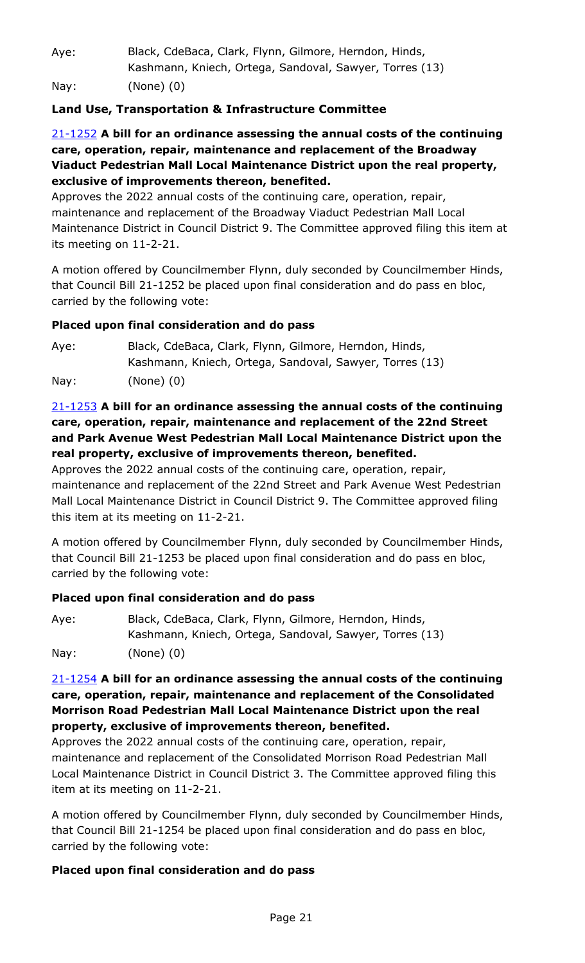| Aye: | Black, CdeBaca, Clark, Flynn, Gilmore, Herndon, Hinds,  |
|------|---------------------------------------------------------|
|      | Kashmann, Kniech, Ortega, Sandoval, Sawyer, Torres (13) |
| Nay: | $(None)$ $(0)$                                          |

# **Land Use, Transportation & Infrastructure Committee**

# 21-1252 **A bill for an ordinance assessing the annual costs of the continuing care, operation, repair, maintenance and replacement of the Broadway Viaduct Pedestrian Mall Local Maintenance District upon the real property, exclusive of improvements thereon, benefited.**

Approves the 2022 annual costs of the continuing care, operation, repair, maintenance and replacement of the Broadway Viaduct Pedestrian Mall Local [Maintenance District in Council District 9. The Committee approved filing this item at](http://denver.legistar.com/gateway.aspx?m=l&id=/matter.aspx?key=19770)  its meeting on 11-2-21.

A motion offered by Councilmember Flynn, duly seconded by Councilmember Hinds, that Council Bill 21-1252 be placed upon final consideration and do pass en bloc, carried by the following vote:

# **Placed upon final consideration and do pass**

Aye: Black, CdeBaca, Clark, Flynn, Gilmore, Herndon, Hinds, Kashmann, Kniech, Ortega, Sandoval, Sawyer, Torres (13) Nay: (None) (0)

# 21-1253 **A bill for an ordinance assessing the annual costs of the continuing care, operation, repair, maintenance and replacement of the 22nd Street [and Park Avenue West Pedestrian Mall Local Maintenance District upon the](http://denver.legistar.com/gateway.aspx?m=l&id=/matter.aspx?key=19771)  real property, exclusive of improvements thereon, benefited.**

Approves the 2022 annual costs of the continuing care, operation, repair, maintenance and replacement of the 22nd Street and Park Avenue West Pedestrian Mall Local Maintenance District in Council District 9. The Committee approved filing this item at its meeting on 11-2-21.

A motion offered by Councilmember Flynn, duly seconded by Councilmember Hinds, that Council Bill 21-1253 be placed upon final consideration and do pass en bloc, carried by the following vote:

# **Placed upon final consideration and do pass**

| Aye: | Black, CdeBaca, Clark, Flynn, Gilmore, Herndon, Hinds,  |
|------|---------------------------------------------------------|
|      | Kashmann, Kniech, Ortega, Sandoval, Sawyer, Torres (13) |
| Nay: | $(None)$ $(0)$                                          |

# 21-1254 **A bill for an ordinance assessing the annual costs of the continuing care, operation, repair, maintenance and replacement of the Consolidated Morrison Road Pedestrian Mall Local Maintenance District upon the real property, exclusive of improvements thereon, benefited.**

Approves the 2022 annual costs of the continuing care, operation, repair, maintenance and replacement of the Consolidated Morrison Road Pedestrian Mall [Local Maintenance District in Council District 3. The Committee approved filing this](http://denver.legistar.com/gateway.aspx?m=l&id=/matter.aspx?key=19772)  item at its meeting on 11-2-21.

A motion offered by Councilmember Flynn, duly seconded by Councilmember Hinds, that Council Bill 21-1254 be placed upon final consideration and do pass en bloc, carried by the following vote: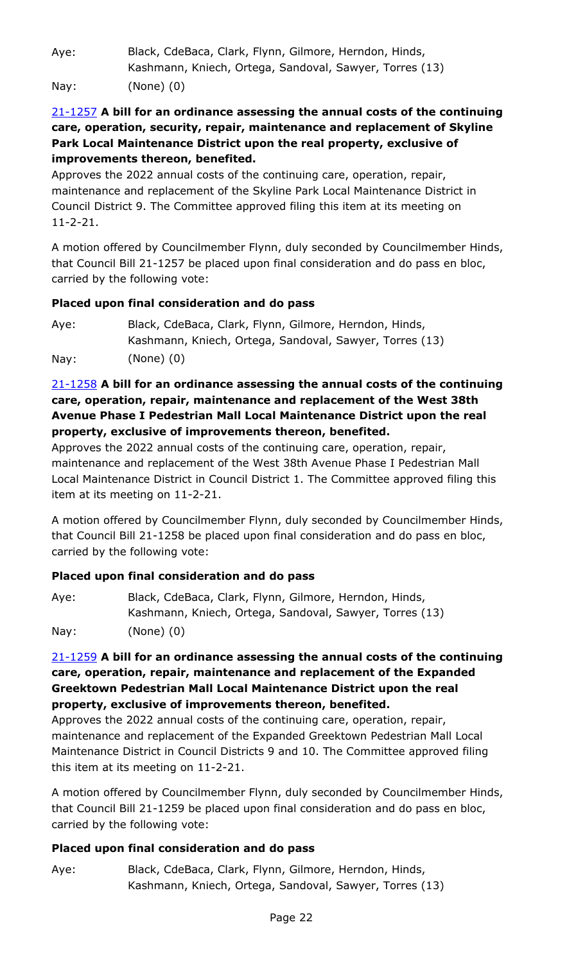Aye: Black, CdeBaca, Clark, Flynn, Gilmore, Herndon, Hinds, Kashmann, Kniech, Ortega, Sandoval, Sawyer, Torres (13)

Nay: (None) (0)

# 21-1257 **A bill for an ordinance assessing the annual costs of the continuing [care, operation, security, repair, maintenance and replacement of Skyline](http://denver.legistar.com/gateway.aspx?m=l&id=/matter.aspx?key=19775)  Park Local Maintenance District upon the real property, exclusive of improvements thereon, benefited.**

Approves the 2022 annual costs of the continuing care, operation, repair, maintenance and replacement of the Skyline Park Local Maintenance District in Council District 9. The Committee approved filing this item at its meeting on 11-2-21.

A motion offered by Councilmember Flynn, duly seconded by Councilmember Hinds, that Council Bill 21-1257 be placed upon final consideration and do pass en bloc, carried by the following vote:

# **Placed upon final consideration and do pass**

Aye: Black, CdeBaca, Clark, Flynn, Gilmore, Herndon, Hinds, Kashmann, Kniech, Ortega, Sandoval, Sawyer, Torres (13) Nay: (None) (0)

# 21-1258 **A bill for an ordinance assessing the annual costs of the continuing care, operation, repair, maintenance and replacement of the West 38th Avenue Phase I Pedestrian Mall Local Maintenance District upon the real property, exclusive of improvements thereon, benefited.**

Approves the 2022 annual costs of the continuing care, operation, repair, maintenance and replacement of the West 38th Avenue Phase I Pedestrian Mall [Local Maintenance District in Council District 1. The Committee approved filing this](http://denver.legistar.com/gateway.aspx?m=l&id=/matter.aspx?key=19776)  item at its meeting on 11-2-21.

A motion offered by Councilmember Flynn, duly seconded by Councilmember Hinds, that Council Bill 21-1258 be placed upon final consideration and do pass en bloc, carried by the following vote:

# **Placed upon final consideration and do pass**

| Aye: | Black, CdeBaca, Clark, Flynn, Gilmore, Herndon, Hinds,  |
|------|---------------------------------------------------------|
|      | Kashmann, Kniech, Ortega, Sandoval, Sawyer, Torres (13) |
| Nay: | (None) (0)                                              |

# 21-1259 **A bill for an ordinance assessing the annual costs of the continuing care, operation, repair, maintenance and replacement of the Expanded Greektown Pedestrian Mall Local Maintenance District upon the real property, exclusive of improvements thereon, benefited.**

Approves the 2022 annual costs of the continuing care, operation, repair, maintenance and replacement of the Expanded Greektown Pedestrian Mall Local [Maintenance District in Council Districts 9 and 10. The Committee approved filing](http://denver.legistar.com/gateway.aspx?m=l&id=/matter.aspx?key=19777)  this item at its meeting on 11-2-21.

A motion offered by Councilmember Flynn, duly seconded by Councilmember Hinds, that Council Bill 21-1259 be placed upon final consideration and do pass en bloc, carried by the following vote:

# **Placed upon final consideration and do pass**

Aye: Black, CdeBaca, Clark, Flynn, Gilmore, Herndon, Hinds, Kashmann, Kniech, Ortega, Sandoval, Sawyer, Torres (13)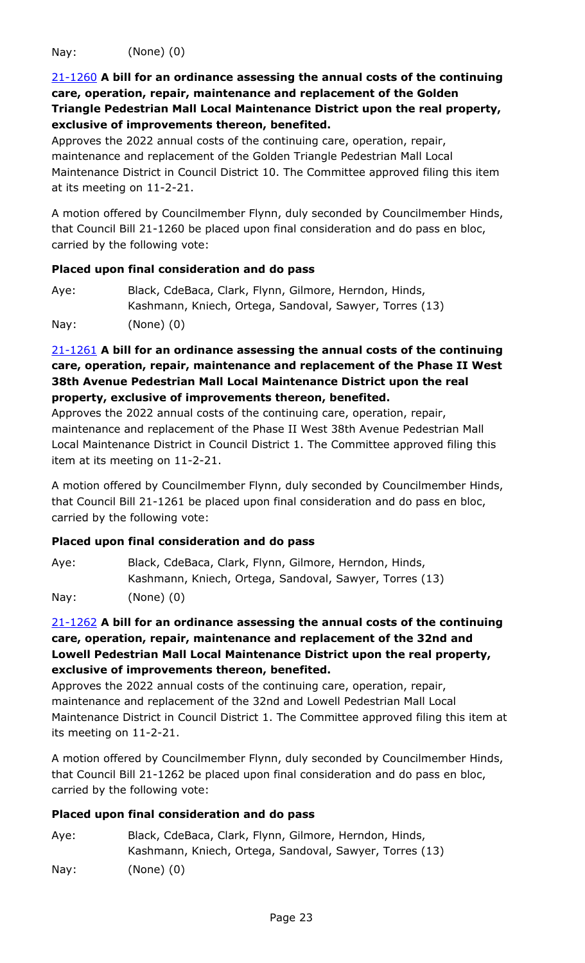Nay: (None) (0)

21-1260 **A bill for an ordinance assessing the annual costs of the continuing care, operation, repair, maintenance and replacement of the Golden [Triangle Pedestrian Mall Local Maintenance District upon the real property,](http://denver.legistar.com/gateway.aspx?m=l&id=/matter.aspx?key=19778)  exclusive of improvements thereon, benefited.**

Approves the 2022 annual costs of the continuing care, operation, repair, maintenance and replacement of the Golden Triangle Pedestrian Mall Local Maintenance District in Council District 10. The Committee approved filing this item at its meeting on 11-2-21.

A motion offered by Councilmember Flynn, duly seconded by Councilmember Hinds, that Council Bill 21-1260 be placed upon final consideration and do pass en bloc, carried by the following vote:

#### **Placed upon final consideration and do pass**

| Aye: | Black, CdeBaca, Clark, Flynn, Gilmore, Herndon, Hinds,  |
|------|---------------------------------------------------------|
|      | Kashmann, Kniech, Ortega, Sandoval, Sawyer, Torres (13) |
| Nay: | $(None)$ $(0)$                                          |

# 21-1261 **A bill for an ordinance assessing the annual costs of the continuing [care, operation, repair, maintenance and replacement of the Phase II West](http://denver.legistar.com/gateway.aspx?m=l&id=/matter.aspx?key=19779)  38th Avenue Pedestrian Mall Local Maintenance District upon the real property, exclusive of improvements thereon, benefited.**

Approves the 2022 annual costs of the continuing care, operation, repair, maintenance and replacement of the Phase II West 38th Avenue Pedestrian Mall Local Maintenance District in Council District 1. The Committee approved filing this item at its meeting on 11-2-21.

A motion offered by Councilmember Flynn, duly seconded by Councilmember Hinds, that Council Bill 21-1261 be placed upon final consideration and do pass en bloc, carried by the following vote:

# **Placed upon final consideration and do pass**

| Aye: | Black, CdeBaca, Clark, Flynn, Gilmore, Herndon, Hinds,  |
|------|---------------------------------------------------------|
|      | Kashmann, Kniech, Ortega, Sandoval, Sawyer, Torres (13) |
| Nay: | $(None)$ $(0)$                                          |

# 21-1262 **A bill for an ordinance assessing the annual costs of the continuing care, operation, repair, maintenance and replacement of the 32nd and Lowell Pedestrian Mall Local Maintenance District upon the real property, exclusive of improvements thereon, benefited.**

Approves the 2022 annual costs of the continuing care, operation, repair, maintenance and replacement of the 32nd and Lowell Pedestrian Mall Local [Maintenance District in Council District 1. The Committee approved filing this item at](http://denver.legistar.com/gateway.aspx?m=l&id=/matter.aspx?key=19780)  its meeting on 11-2-21.

A motion offered by Councilmember Flynn, duly seconded by Councilmember Hinds, that Council Bill 21-1262 be placed upon final consideration and do pass en bloc, carried by the following vote:

| Aye: | Black, CdeBaca, Clark, Flynn, Gilmore, Herndon, Hinds,  |
|------|---------------------------------------------------------|
|      | Kashmann, Kniech, Ortega, Sandoval, Sawyer, Torres (13) |
| Nay: | $(None)$ $(0)$                                          |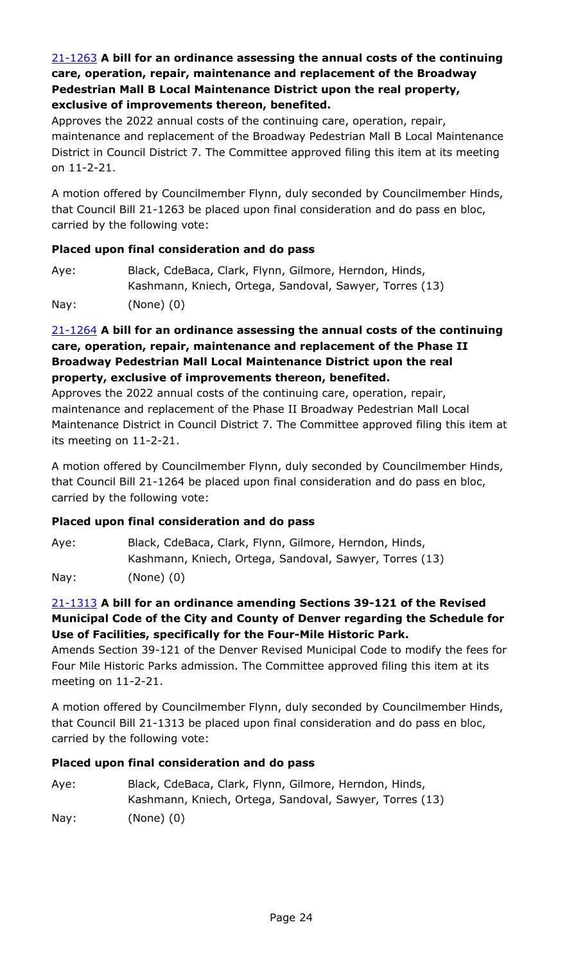# 21-1263 **A bill for an ordinance assessing the annual costs of the continuing care, operation, repair, maintenance and replacement of the Broadway Pedestrian Mall B Local Maintenance District upon the real property, exclusive of improvements thereon, benefited.**

Approves the 2022 annual costs of the continuing care, operation, repair, [maintenance and replacement of the Broadway Pedestrian Mall B Local Maintenance](http://denver.legistar.com/gateway.aspx?m=l&id=/matter.aspx?key=19781)  District in Council District 7. The Committee approved filing this item at its meeting on 11-2-21.

A motion offered by Councilmember Flynn, duly seconded by Councilmember Hinds, that Council Bill 21-1263 be placed upon final consideration and do pass en bloc, carried by the following vote:

# **Placed upon final consideration and do pass**

| Aye: | Black, CdeBaca, Clark, Flynn, Gilmore, Herndon, Hinds,  |
|------|---------------------------------------------------------|
|      | Kashmann, Kniech, Ortega, Sandoval, Sawyer, Torres (13) |
| Nay: | $(None)$ $(0)$                                          |

# 21-1264 **A bill for an ordinance assessing the annual costs of the continuing care, operation, repair, maintenance and replacement of the Phase II Broadway Pedestrian Mall Local Maintenance District upon the real property, exclusive of improvements thereon, benefited.**

Approves the 2022 annual costs of the continuing care, operation, repair, maintenance and replacement of the Phase II Broadway Pedestrian Mall Local [Maintenance District in Council District 7. The Committee approved filing this item at](http://denver.legistar.com/gateway.aspx?m=l&id=/matter.aspx?key=19782)  its meeting on 11-2-21.

A motion offered by Councilmember Flynn, duly seconded by Councilmember Hinds, that Council Bill 21-1264 be placed upon final consideration and do pass en bloc, carried by the following vote:

# **Placed upon final consideration and do pass**

Aye: Black, CdeBaca, Clark, Flynn, Gilmore, Herndon, Hinds, Kashmann, Kniech, Ortega, Sandoval, Sawyer, Torres (13) Nay: (None) (0)

# 21-1313 **A bill for an ordinance amending Sections 39-121 of the Revised Municipal Code of the City and County of Denver regarding the Schedule for Use of Facilities, specifically for the Four-Mile Historic Park.**

[Amends Section 39-121 of the Denver Revised Municipal Code to modify the fees for](http://denver.legistar.com/gateway.aspx?m=l&id=/matter.aspx?key=19831)  Four Mile Historic Parks admission. The Committee approved filing this item at its meeting on 11-2-21.

A motion offered by Councilmember Flynn, duly seconded by Councilmember Hinds, that Council Bill 21-1313 be placed upon final consideration and do pass en bloc, carried by the following vote:

| Aye:            | Black, CdeBaca, Clark, Flynn, Gilmore, Herndon, Hinds,  |
|-----------------|---------------------------------------------------------|
|                 | Kashmann, Kniech, Ortega, Sandoval, Sawyer, Torres (13) |
| $\textsf{Nav:}$ | $(None)$ $(0)$                                          |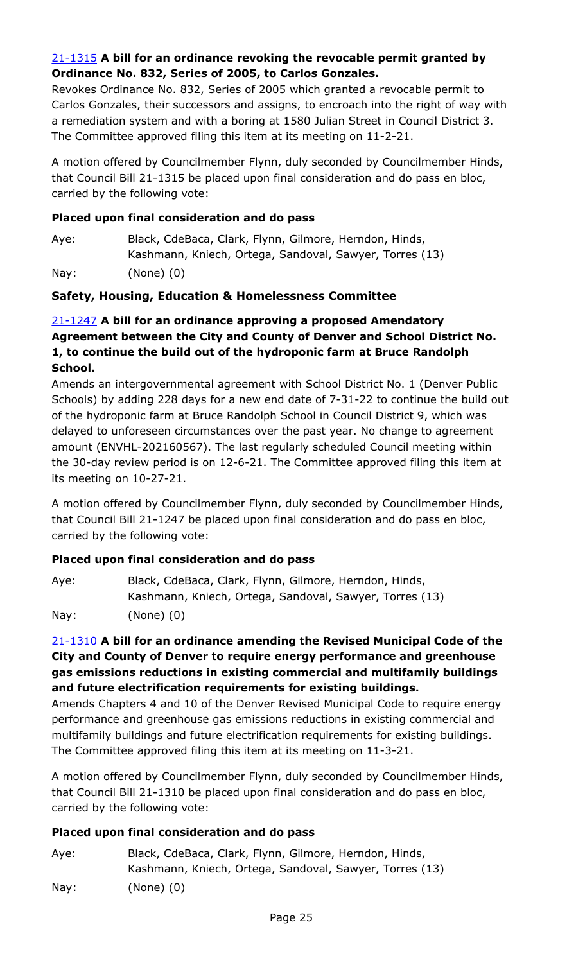# 21-1315 **A bill for an ordinance revoking the revocable permit granted by Ordinance No. 832, Series of 2005, to Carlos Gonzales.**

Revokes Ordinance No. 832, Series of 2005 which granted a revocable permit to [Carlos Gonzales, their successors and assigns, to encroach into the right of way with](http://denver.legistar.com/gateway.aspx?m=l&id=/matter.aspx?key=19833)  a remediation system and with a boring at 1580 Julian Street in Council District 3. The Committee approved filing this item at its meeting on 11-2-21.

A motion offered by Councilmember Flynn, duly seconded by Councilmember Hinds, that Council Bill 21-1315 be placed upon final consideration and do pass en bloc, carried by the following vote:

### **Placed upon final consideration and do pass**

Aye: Black, CdeBaca, Clark, Flynn, Gilmore, Herndon, Hinds, Kashmann, Kniech, Ortega, Sandoval, Sawyer, Torres (13)

Nay: (None) (0)

#### **Safety, Housing, Education & Homelessness Committee**

# 21-1247 **A bill for an ordinance approving a proposed Amendatory Agreement between the City and County of Denver and School District No. 1, to continue the build out of the hydroponic farm at Bruce Randolph School.**

Amends an intergovernmental agreement with School District No. 1 (Denver Public [Schools\) by adding 228 days for a new end date of 7-31-22 to continue the build out](http://denver.legistar.com/gateway.aspx?m=l&id=/matter.aspx?key=19765)  of the hydroponic farm at Bruce Randolph School in Council District 9, which was delayed to unforeseen circumstances over the past year. No change to agreement amount (ENVHL-202160567). The last regularly scheduled Council meeting within the 30-day review period is on 12-6-21. The Committee approved filing this item at its meeting on 10-27-21.

A motion offered by Councilmember Flynn, duly seconded by Councilmember Hinds, that Council Bill 21-1247 be placed upon final consideration and do pass en bloc, carried by the following vote:

#### **Placed upon final consideration and do pass**

| Aye: | Black, CdeBaca, Clark, Flynn, Gilmore, Herndon, Hinds,  |
|------|---------------------------------------------------------|
|      | Kashmann, Kniech, Ortega, Sandoval, Sawyer, Torres (13) |
| Nay: | $(None)$ $(0)$                                          |

# 21-1310 **A bill for an ordinance amending the Revised Municipal Code of the City and County of Denver to require energy performance and greenhouse gas emissions reductions in existing commercial and multifamily buildings and future electrification requirements for existing buildings.**

[Amends Chapters 4 and 10 of the Denver Revised Municipal Code to require energy](http://denver.legistar.com/gateway.aspx?m=l&id=/matter.aspx?key=19828)  performance and greenhouse gas emissions reductions in existing commercial and multifamily buildings and future electrification requirements for existing buildings. The Committee approved filing this item at its meeting on 11-3-21.

A motion offered by Councilmember Flynn, duly seconded by Councilmember Hinds, that Council Bill 21-1310 be placed upon final consideration and do pass en bloc, carried by the following vote:

# **Placed upon final consideration and do pass**

Aye: Black, CdeBaca, Clark, Flynn, Gilmore, Herndon, Hinds, Kashmann, Kniech, Ortega, Sandoval, Sawyer, Torres (13) Nay: (None) (0)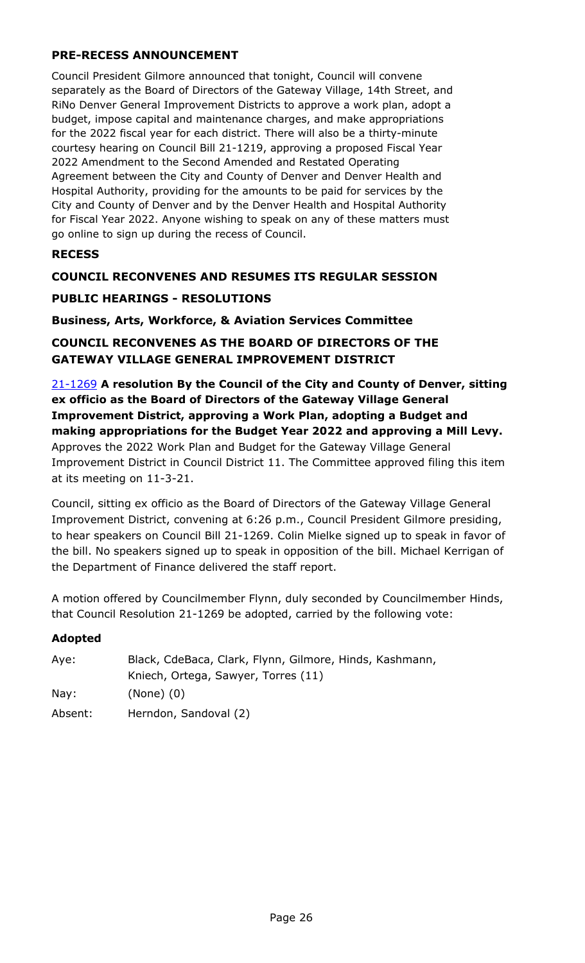# **PRE-RECESS ANNOUNCEMENT**

Council President Gilmore announced that tonight, Council will convene separately as the Board of Directors of the Gateway Village, 14th Street, and RiNo Denver General Improvement Districts to approve a work plan, adopt a budget, impose capital and maintenance charges, and make appropriations for the 2022 fiscal year for each district. There will also be a thirty-minute courtesy hearing on Council Bill 21-1219, approving a proposed Fiscal Year 2022 Amendment to the Second Amended and Restated Operating Agreement between the City and County of Denver and Denver Health and Hospital Authority, providing for the amounts to be paid for services by the City and County of Denver and by the Denver Health and Hospital Authority for Fiscal Year 2022. Anyone wishing to speak on any of these matters must go online to sign up during the recess of Council.

#### **RECESS**

#### **COUNCIL RECONVENES AND RESUMES ITS REGULAR SESSION**

#### **PUBLIC HEARINGS - RESOLUTIONS**

**Business, Arts, Workforce, & Aviation Services Committee**

**COUNCIL RECONVENES AS THE BOARD OF DIRECTORS OF THE GATEWAY VILLAGE GENERAL IMPROVEMENT DISTRICT**

21-1269 **A resolution By the Council of the City and County of Denver, sitting ex officio as the Board of Directors of the Gateway Village General Improvement District, approving a Work Plan, adopting a Budget and making appropriations for the Budget Year 2022 and approving a Mill Levy.** Approves the 2022 Work Plan and Budget for the Gateway Village General [Improvement District in Council District 11. The Committee approved filing this item](http://denver.legistar.com/gateway.aspx?m=l&id=/matter.aspx?key=19787)  at its meeting on 11-3-21.

Council, sitting ex officio as the Board of Directors of the Gateway Village General Improvement District, convening at 6:26 p.m., Council President Gilmore presiding, to hear speakers on Council Bill 21-1269. Colin Mielke signed up to speak in favor of the bill. No speakers signed up to speak in opposition of the bill. Michael Kerrigan of the Department of Finance delivered the staff report.

A motion offered by Councilmember Flynn, duly seconded by Councilmember Hinds, that Council Resolution 21-1269 be adopted, carried by the following vote:

#### **Adopted**

| Aye:    | Black, CdeBaca, Clark, Flynn, Gilmore, Hinds, Kashmann, |
|---------|---------------------------------------------------------|
|         | Kniech, Ortega, Sawyer, Torres (11)                     |
| Nay:    | $(None)$ $(0)$                                          |
| Absent: | Herndon, Sandoval (2)                                   |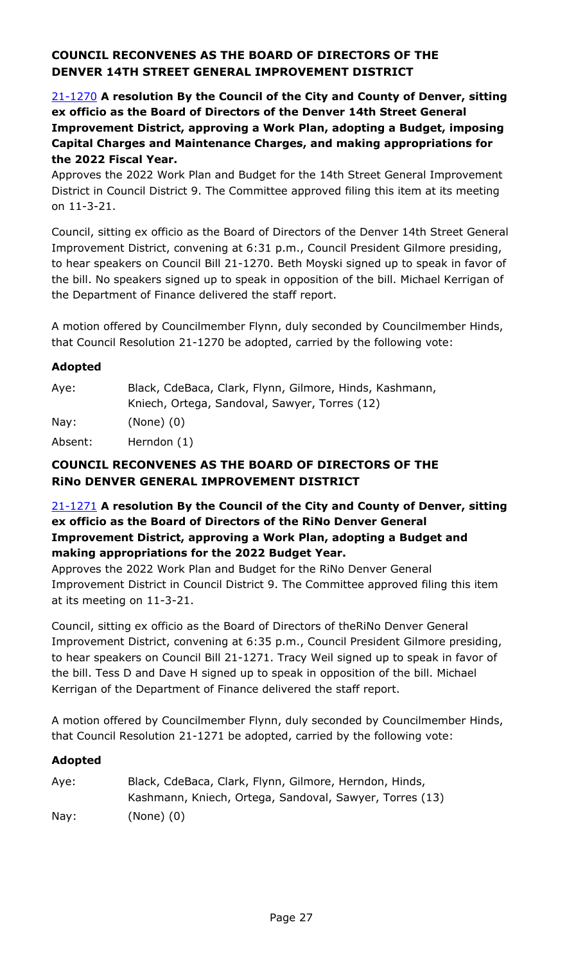# **COUNCIL RECONVENES AS THE BOARD OF DIRECTORS OF THE DENVER 14TH STREET GENERAL IMPROVEMENT DISTRICT**

21-1270 **A resolution By the Council of the City and County of Denver, sitting ex officio as the Board of Directors of the Denver 14th Street General [Improvement District, approving a Work Plan, adopting a Budget, imposing](http://denver.legistar.com/gateway.aspx?m=l&id=/matter.aspx?key=19788)  Capital Charges and Maintenance Charges, and making appropriations for the 2022 Fiscal Year.**

Approves the 2022 Work Plan and Budget for the 14th Street General Improvement District in Council District 9. The Committee approved filing this item at its meeting on 11-3-21.

Council, sitting ex officio as the Board of Directors of the Denver 14th Street General Improvement District, convening at 6:31 p.m., Council President Gilmore presiding, to hear speakers on Council Bill 21-1270. Beth Moyski signed up to speak in favor of the bill. No speakers signed up to speak in opposition of the bill. Michael Kerrigan of the Department of Finance delivered the staff report.

A motion offered by Councilmember Flynn, duly seconded by Councilmember Hinds, that Council Resolution 21-1270 be adopted, carried by the following vote:

#### **Adopted**

| Aye:    | Black, CdeBaca, Clark, Flynn, Gilmore, Hinds, Kashmann, |
|---------|---------------------------------------------------------|
|         | Kniech, Ortega, Sandoval, Sawyer, Torres (12)           |
| Nay:    | $(None)$ $(0)$                                          |
| Absent: | Herndon $(1)$                                           |

# **COUNCIL RECONVENES AS THE BOARD OF DIRECTORS OF THE RiNo DENVER GENERAL IMPROVEMENT DISTRICT**

# 21-1271 **A resolution By the Council of the City and County of Denver, sitting ex officio as the Board of Directors of the RiNo Denver General Improvement District, approving a Work Plan, adopting a Budget and making appropriations for the 2022 Budget Year.**

Approves the 2022 Work Plan and Budget for the RiNo Denver General [Improvement District in Council District 9. The Committee approved filing this item](http://denver.legistar.com/gateway.aspx?m=l&id=/matter.aspx?key=19789)  at its meeting on 11-3-21.

Council, sitting ex officio as the Board of Directors of theRiNo Denver General Improvement District, convening at 6:35 p.m., Council President Gilmore presiding, to hear speakers on Council Bill 21-1271. Tracy Weil signed up to speak in favor of the bill. Tess D and Dave H signed up to speak in opposition of the bill. Michael Kerrigan of the Department of Finance delivered the staff report.

A motion offered by Councilmember Flynn, duly seconded by Councilmember Hinds, that Council Resolution 21-1271 be adopted, carried by the following vote:

# **Adopted**

| Aye: | Black, CdeBaca, Clark, Flynn, Gilmore, Herndon, Hinds,  |
|------|---------------------------------------------------------|
|      | Kashmann, Kniech, Ortega, Sandoval, Sawyer, Torres (13) |
| Nay: | $(None)$ $(0)$                                          |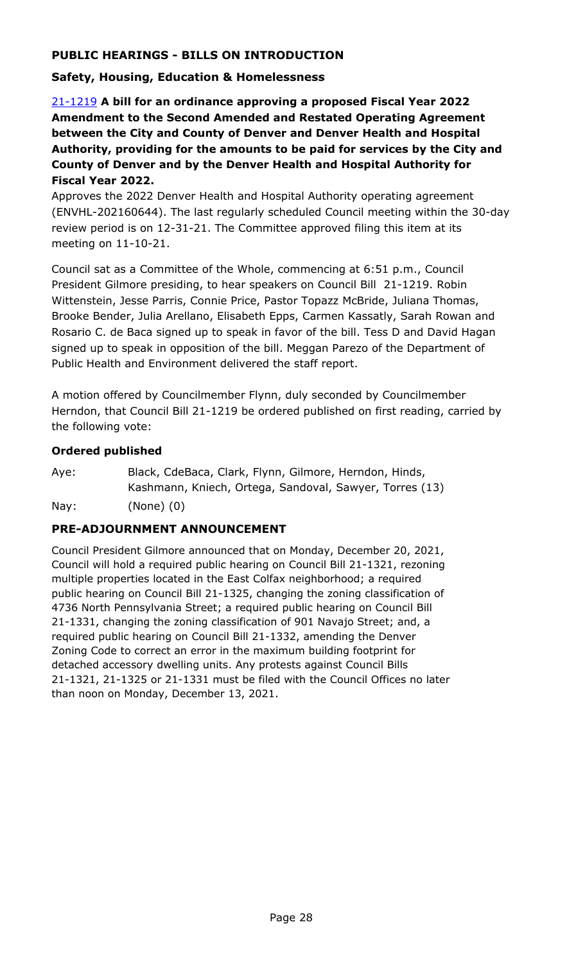# **PUBLIC HEARINGS - BILLS ON INTRODUCTION**

### **Safety, Housing, Education & Homelessness**

21-1219 **A bill for an ordinance approving a proposed Fiscal Year 2022 Amendment to the Second Amended and Restated Operating Agreement between the City and County of Denver and Denver Health and Hospital Authority, providing for the amounts to be paid for services by the City and County of Denver and by the Denver Health and Hospital Authority for Fiscal Year 2022.**

Approves the 2022 Denver Health and Hospital Authority operating agreement [\(ENVHL-202160644\). The last regularly scheduled Council meeting within the 30-day](http://denver.legistar.com/gateway.aspx?m=l&id=/matter.aspx?key=19737)  review period is on 12-31-21. The Committee approved filing this item at its meeting on 11-10-21.

Council sat as a Committee of the Whole, commencing at 6:51 p.m., Council President Gilmore presiding, to hear speakers on Council Bill 21-1219. Robin Wittenstein, Jesse Parris, Connie Price, Pastor Topazz McBride, Juliana Thomas, Brooke Bender, Julia Arellano, Elisabeth Epps, Carmen Kassatly, Sarah Rowan and Rosario C. de Baca signed up to speak in favor of the bill. Tess D and David Hagan signed up to speak in opposition of the bill. Meggan Parezo of the Department of Public Health and Environment delivered the staff report.

A motion offered by Councilmember Flynn, duly seconded by Councilmember Herndon, that Council Bill 21-1219 be ordered published on first reading, carried by the following vote:

#### **Ordered published**

Aye: Black, CdeBaca, Clark, Flynn, Gilmore, Herndon, Hinds, Kashmann, Kniech, Ortega, Sandoval, Sawyer, Torres (13) Nay: (None) (0)

# **PRE-ADJOURNMENT ANNOUNCEMENT**

Council President Gilmore announced that on Monday, December 20, 2021, Council will hold a required public hearing on Council Bill 21-1321, rezoning multiple properties located in the East Colfax neighborhood; a required public hearing on Council Bill 21-1325, changing the zoning classification of 4736 North Pennsylvania Street; a required public hearing on Council Bill 21-1331, changing the zoning classification of 901 Navajo Street; and, a required public hearing on Council Bill 21-1332, amending the Denver Zoning Code to correct an error in the maximum building footprint for detached accessory dwelling units. Any protests against Council Bills 21-1321, 21-1325 or 21-1331 must be filed with the Council Offices no later than noon on Monday, December 13, 2021.